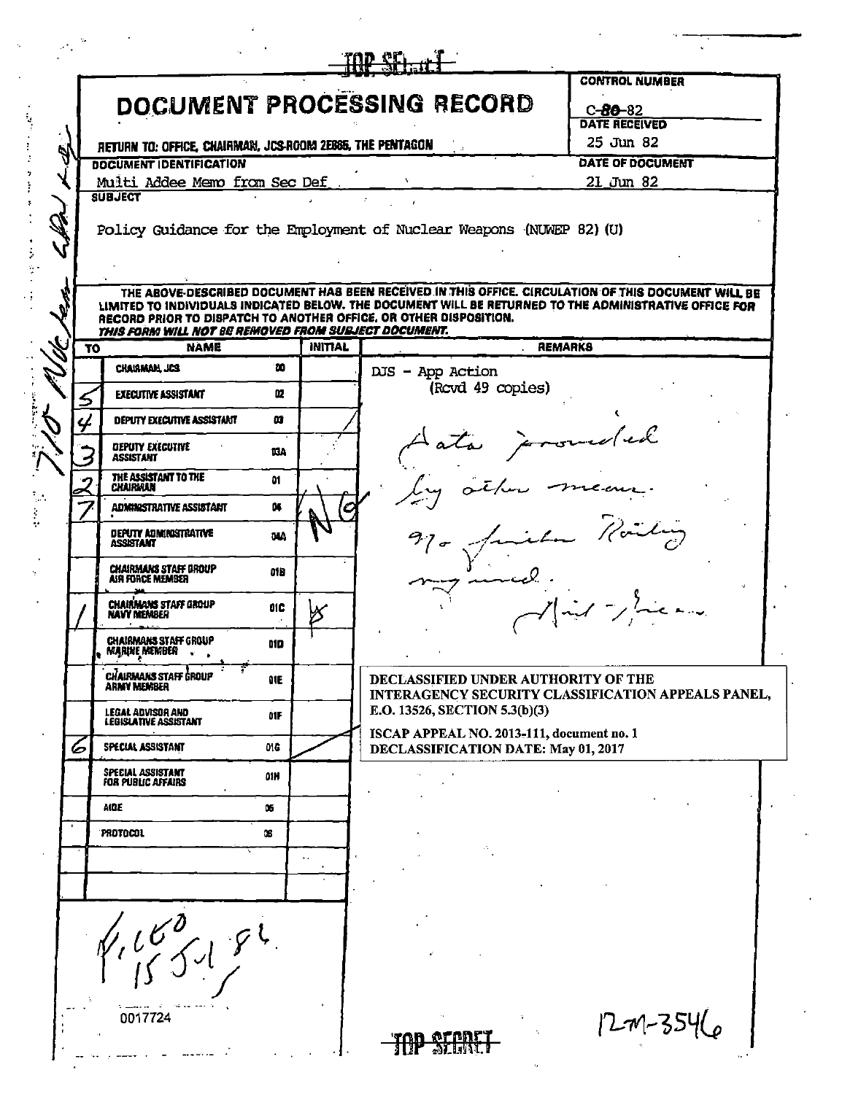|    |                                                                     |      |                |                                                                                                                                                                                                               | <b>CONTROL NUMBER</b> |
|----|---------------------------------------------------------------------|------|----------------|---------------------------------------------------------------------------------------------------------------------------------------------------------------------------------------------------------------|-----------------------|
|    |                                                                     |      |                | DOCUMENT PROCESSING RECORD                                                                                                                                                                                    | $C - 80 - 82$         |
|    |                                                                     |      |                |                                                                                                                                                                                                               | <b>DATE RECEIVED</b>  |
|    | RETURN TO: OFFICE, CHAIRMAN, JCS-ROOM 2E885, THE PENTAGON           |      |                |                                                                                                                                                                                                               | 25 Jun 82             |
|    | <b>DOCUMENT IDENTIFICATION</b>                                      |      |                |                                                                                                                                                                                                               | DATE OF DOCUMENT      |
|    | Multi Addee Memo from Sec Def<br><b>SUBJECT</b>                     |      |                |                                                                                                                                                                                                               | $21$ Jun 82           |
|    |                                                                     |      |                |                                                                                                                                                                                                               |                       |
|    |                                                                     |      |                | Policy Guidance for the Employment of Nuclear Weapons (NUWEP 82) (U)                                                                                                                                          |                       |
|    |                                                                     |      |                |                                                                                                                                                                                                               |                       |
|    |                                                                     |      |                |                                                                                                                                                                                                               |                       |
|    |                                                                     |      |                | THE ABOVE-DESCRIBED DOCUMENT HAS BEEN RECEIVED IN THIS OFFICE. CIRCULATION OF THIS DOCUMENT WILL BE<br>LIMITED TO INDIVIDUALS INDICATED BELOW. THE DOCUMENT WILL BE RETURNED TO THE ADMINISTRATIVE OFFICE FOR |                       |
|    |                                                                     |      |                | RECORD PRIOR TO DISPATCH TO ANOTHER OFFICE, OR OTHER DISPOSITION.                                                                                                                                             |                       |
| סד | THIS FORM WILL NOT BE REMOVED FROM SUBJECT DOCUMENT.<br><b>NAME</b> |      | <b>INITIAL</b> | <b>REMARKS</b>                                                                                                                                                                                                |                       |
|    | <b>CHAIRMAN JCS</b>                                                 | ю    |                | DJS - App Action                                                                                                                                                                                              |                       |
|    | <b>EXECUTIVE ASSISTANT</b>                                          | ш    |                | (Royd 49 copies)                                                                                                                                                                                              |                       |
| 5  |                                                                     |      |                |                                                                                                                                                                                                               |                       |
|    | DEPUTY EXECUTIVE ASSISTANT                                          | œ    |                |                                                                                                                                                                                                               |                       |
|    | <b>DEPUTY EXECUTIVE</b><br>ASSISTANT                                | щA   |                | Aata proveded                                                                                                                                                                                                 |                       |
|    | THE ASSISTANT TO THE                                                |      |                |                                                                                                                                                                                                               |                       |
|    | CHAIRMAN                                                            | û1   |                |                                                                                                                                                                                                               |                       |
|    | <b>ADMINISTRATIVE ASSISTANT</b>                                     | U.   |                |                                                                                                                                                                                                               |                       |
|    | DEPUTY ADMINISTRATIVE<br><b>ASSISTANT</b>                           | ūΜ   |                |                                                                                                                                                                                                               |                       |
|    |                                                                     |      |                | 970 Juile Roiling                                                                                                                                                                                             |                       |
|    | <b>CHAIRMANS STAFF UROUP</b><br><b>AIR FORCE MEMBER</b>             | 01B  |                |                                                                                                                                                                                                               |                       |
|    | <b>CHAIRMANS STAFF GROUP</b>                                        | 01C  |                |                                                                                                                                                                                                               | $\sim$                |
|    | <b>NAVY MEMBER</b>                                                  |      |                |                                                                                                                                                                                                               |                       |
|    | CHAIRMANS STAFF GROUP<br><b>MARINE MEMBER</b>                       | 01 D |                |                                                                                                                                                                                                               |                       |
|    |                                                                     |      |                |                                                                                                                                                                                                               |                       |
|    | <b>CHAIRMANS STAFF GROUP</b><br>ARNY NEXBER                         | QIE  |                | DECLASSIFIED UNDER AUTHORITY OF THE                                                                                                                                                                           |                       |
|    |                                                                     | 01F  |                | INTERAGENCY SECURITY CLASSIFICATION APPEALS PANEL,<br>E.O. 13526, SECTION 5.3(b)(3)                                                                                                                           |                       |
|    | LEGAL ADVISOR AND<br>LEGISLATIVE ASSISTANT                          |      |                | ISCAP APPEAL NO. 2013-111, document no. 1                                                                                                                                                                     |                       |
| 6  | SPECIAL ASSISTANT                                                   | 01G  |                | DECLASSIFICATION DATE: May 01, 2017                                                                                                                                                                           |                       |
|    | SPECIAL ASSISTANT                                                   | 01N  |                |                                                                                                                                                                                                               |                       |
|    | <b>FOR PUBLIC AFFAIRS</b>                                           |      |                |                                                                                                                                                                                                               |                       |
|    | <b>AIDE</b>                                                         | û5.  |                |                                                                                                                                                                                                               |                       |
|    | PROTOCOL                                                            | OB.  |                |                                                                                                                                                                                                               |                       |
|    |                                                                     |      |                |                                                                                                                                                                                                               |                       |
|    |                                                                     |      |                |                                                                                                                                                                                                               |                       |
|    |                                                                     |      |                |                                                                                                                                                                                                               |                       |
|    | 4160181                                                             |      |                |                                                                                                                                                                                                               |                       |
|    |                                                                     |      |                |                                                                                                                                                                                                               |                       |
|    |                                                                     |      |                |                                                                                                                                                                                                               |                       |
|    |                                                                     |      |                |                                                                                                                                                                                                               |                       |
|    |                                                                     |      |                |                                                                                                                                                                                                               |                       |
|    | 0017724                                                             |      |                |                                                                                                                                                                                                               | $12 - 7 - 3546$       |

j,

 $\ddot{\phantom{0}}$ 

 $\frac{1}{2}$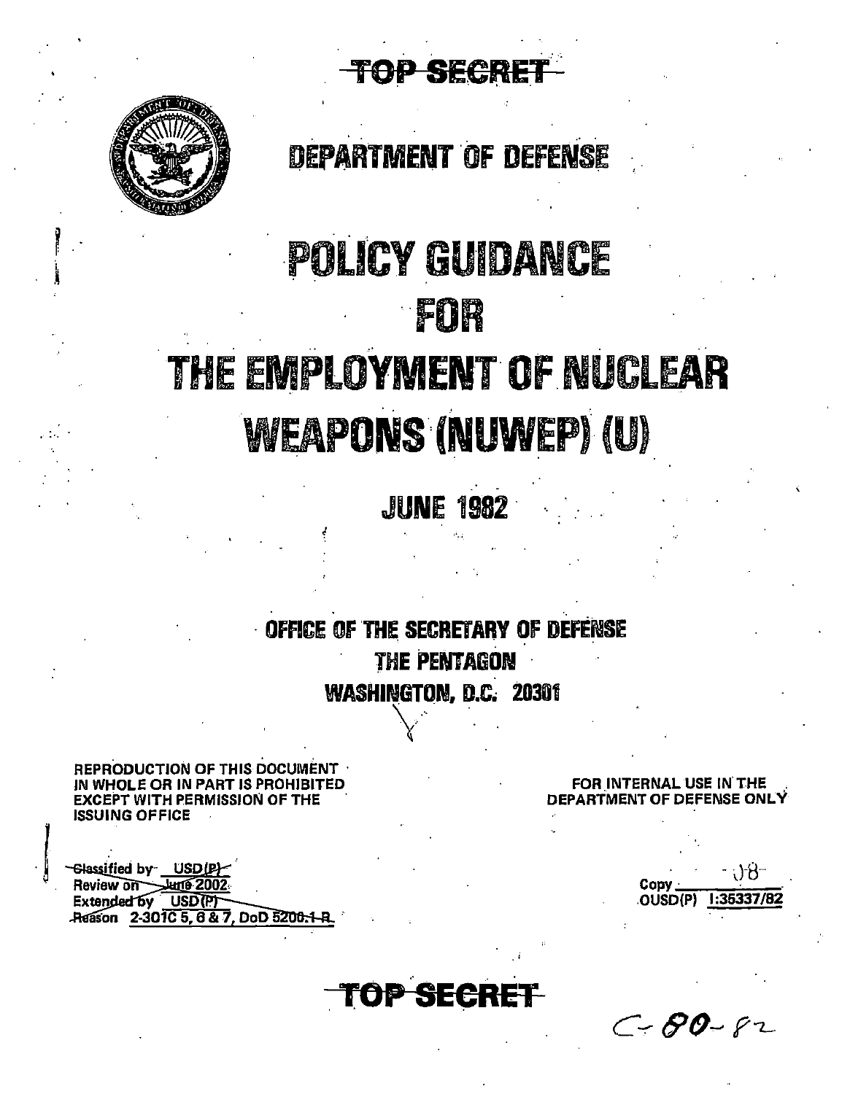TOP SECRE



, .

 $\mathbb{R}$ 

|<br>|<br>|

# DEPARTMENT OF DEFENSE

# POLICY GUIDANCE ·fOR . .. .. .• THE EMPLOYMENT OF NUCLEAR

# WEAPONS (NUWEP) (U)

**JIUNE 1982** 

. The contribution of the contribution of the contribution  $\mathcal{L}_\mathbf{z}$ OFFICE OF THE SECRETARY OF DEFENSE **THE PENTAGON** WASHINGTON, D.C. 20301

REPRODUCTION OF THIS DOCUMENT · IN WHOLE OR IN PART IS PROHIBITED EXCEPT WITH PERMISSION OF THE ISSUING OFFICE

Glassified by USD(P) Extended by USD(P) Reason 2-301C 5, 6 & 7, DoD 5200-1

FOR INTERNAL USE IN THE DEPARTMENT OF DEFENSE ONLY

 $\text{Conv}$  .  $^{+}\left(\right)^{2}\theta^{-}$ . OUSD(P) 1:36337/82

**OP SECR** 

"

 $C - 80 - 82$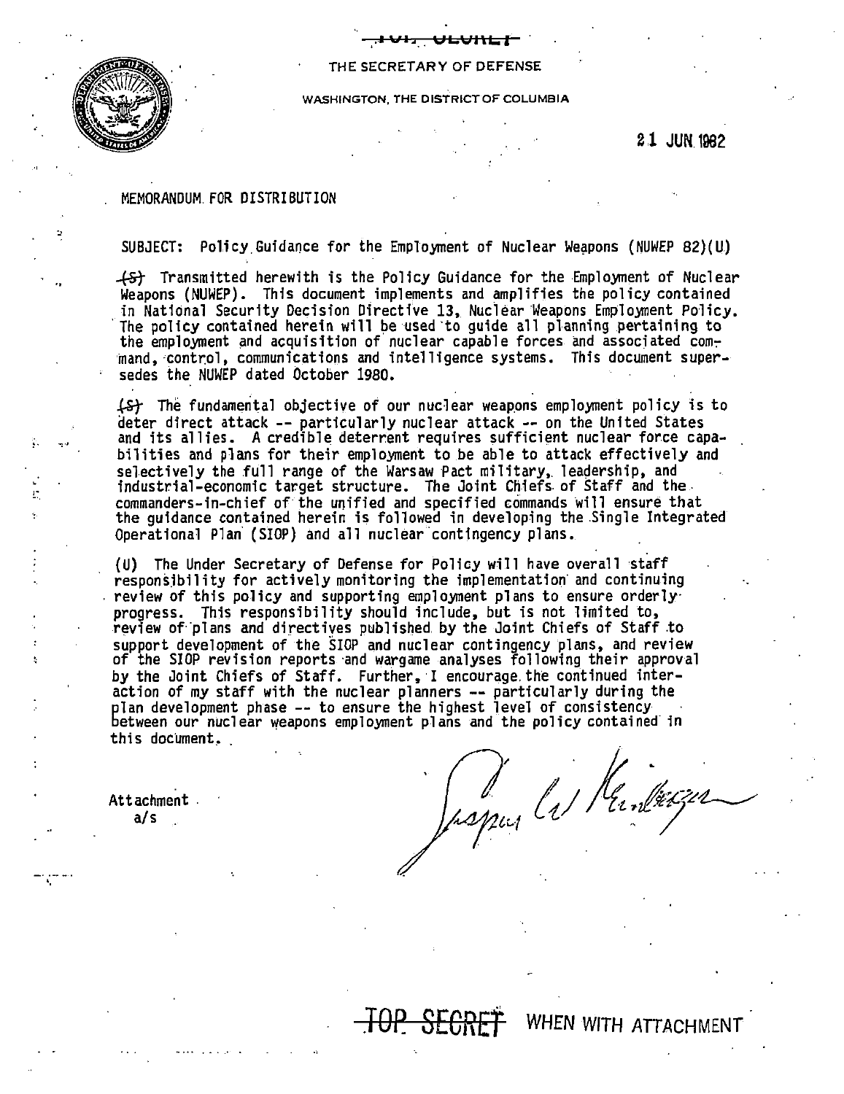

#### THE SECRETARY OF DEFENSE

**,..l\i'l::a.. ULVJ\LI** 

WASHINGTON, THE DISTRICT OF COLUMBIA

21 JUN 1982

#### MEMORANDUM.FOR DISTRIBUTION

SUBJECT: Policy Guidance for the Employment of Nuclear Weapons (NUWEP 82)(U)

-t5t Transmitted herewith is the Pol icy Guidance for the Employment of Nuclear Weapons (NUWEP). This document implements and amplifies the policy contained in National Security Decision Directive 13, Nuclear Weapons Employment Policy. The policy contained herein will be used to quide all planning pertaining to the employment and acquisition of nuclear capable forces and associated command, control, communications and intelligence systems. This document supersedes the NUWEP dated October 1980.

 $\angle$   $\angle$  The fundamental objective of our nuclear weapons employment policy is to deter direct attack -- particularly nuclear attack -- on the United States and its allies. A credible deterrent requires sufficient nuclear force capabilities and plans for their employment to be able to attack effectively and selectively the full range of the Warsaw Pact military, leadership, and industrial-economic target structure. The Joint Chiefs. of Staff and the. commanders-in-chief of· the unified and specified commands will ensure that the guidance contained herein is followed in developing the .Single Integrated Operational Plan (SIOP) and all nuclear contingency plans.

(U) The Under Secretary of Defense for Policy will have overall staff responsibility for actively monitoring the implementation and continuing review of this policy and supporting employment plans to ensure orderly· progress. This responsibility should include, but is not limited to, review of·'plans and directives published by the Joint Chiefs of Staff .to support development of the SIOP and nuclear contingency plans, and review of the SIOP revision reports ·and wargame analyses following their approval by the Joint Chiefs of Staff. Further, I encourage the continued interaction of my staff with the nuclear planners -- particularly during the plan development phase -- to ensure the highest level of consistency<br>between our nuclear weapons employment plans and the policy contained in this document.

Attachment .  $a/s$ 

•.

De la Mandresser

WHEN WITH ATTACHMENT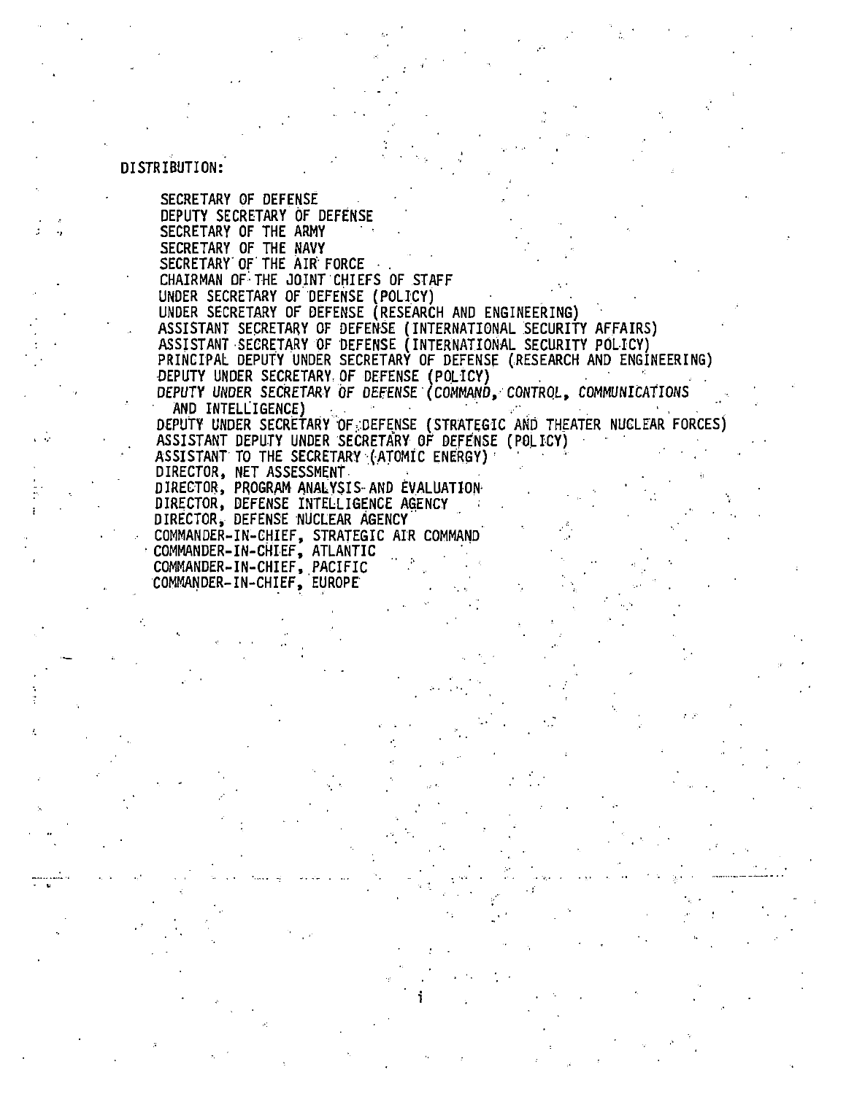#### DISTRIBUTION:

SECRETARY OF DEFENSE DEPUTY SECRETARY OF DEFENSE SECRETARY OF THE ARMY SECRETARY OF THE NAVY<br>SECRETARY OF THE AIR FORCE CHAIRMAN OF THE JOINT CHIEFS OF STAFF UNDER SECRETARY OF DEFENSE (POLICY) UNDER SECRETARY OF DEFENSE (RESEARCH AND ENGINEERING) ASSISTANT SECRETARY OF DEFENSE (INTERNATIONAL SECURITY AFFAIRS)<br>ASSISTANT SECRETARY OF DEFENSE (INTERNATIONAL SECURITY POLICY) PRINCIPAL DEPUTY UNDER SECRETARY OF DEFENSE (RESEARCH AND ENGINEERING) DEPUTY UNDER SECRETARY OF DEFENSE (POLICY) DEPUTY UNDER SECRETARY OF DEFENSE (COMMAND, CONTROL, COMMUNICATIONS AND INTELLIGENCE) DEPUTY UNDER SECRETARY OF DEFENSE (STRATEGIC AND THEATER NUCLEAR FORCES) ASSISTANT DEPUTY UNDER SECRETARY OF DEFENSE (POLICY) ASSISTANT TO THE SECRETARY (ATOMIC ENERGY) DIRECTOR, NET ASSESSMENT DIRECTOR, PROGRAM ANALYSIS AND EVALUATION DIRECTOR, DEFENSE INTELLIGENCE AGENCY DIRECTOR, DEFENSE NUCLEAR AGENCY COMMANDER-IN-CHIEF, STRATEGIC AIR COMMAND COMMANDER-IN-CHIEF, ATLANTIC COMMANDER-IN-CHIEF, PACIFIC COMMANDER-IN-CHIEF, EUROPE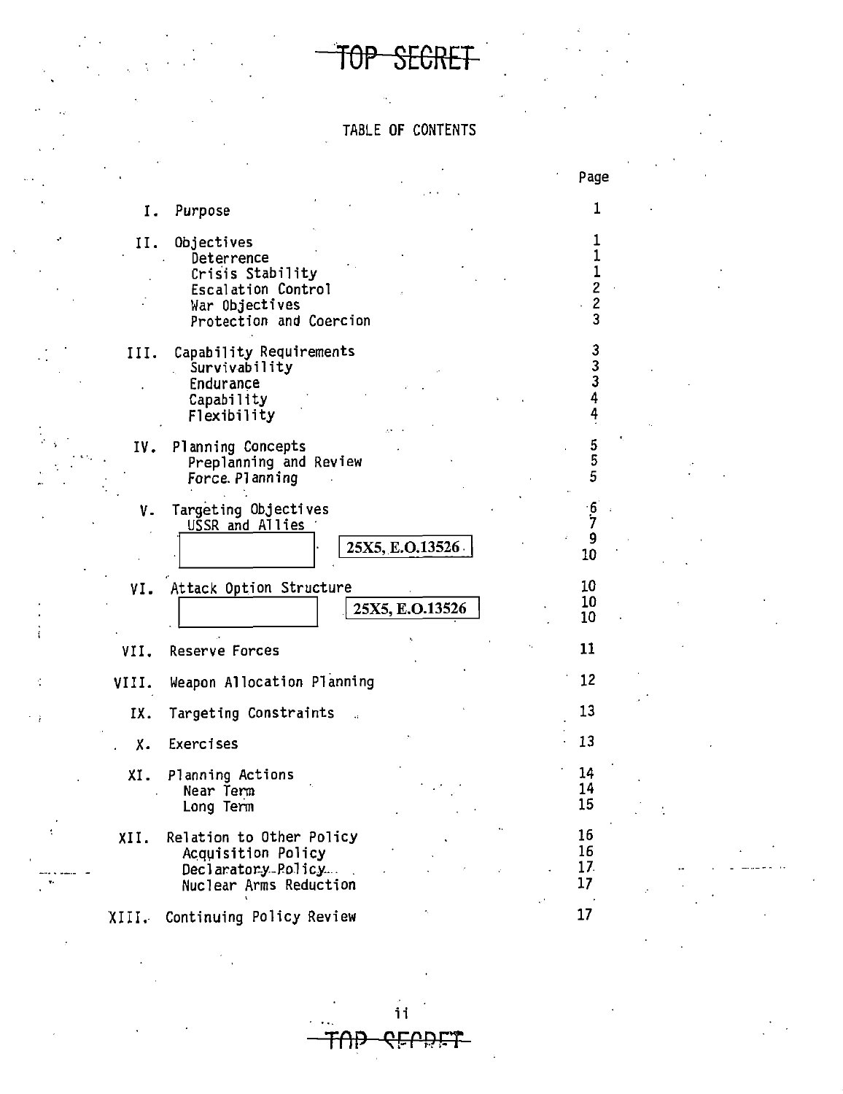TOP SECRET

## TABLE OF CONTENTS

|       |                                                                                                                 |                 | Page                     |  |
|-------|-----------------------------------------------------------------------------------------------------------------|-----------------|--------------------------|--|
| Ι.    | Purpose                                                                                                         |                 |                          |  |
| II.   | Objectives<br>Deterrence<br>Crisis Stability<br>Escalation Control<br>War Objectives<br>Protection and Coercion |                 |                          |  |
| III.  | Capability Requirements<br>Survivability<br>Endurance<br>Capability<br>Flexibility                              |                 | კ<br>3<br>3              |  |
| IV.   | Planning Concepts<br>Preplanning and Review<br>Force. Planning                                                  |                 | 5<br>5                   |  |
| ٧.    | Targeting Objectives<br>USSR and Allies                                                                         | 25X5, E.O.13526 | <u>6</u><br>7<br>9<br>10 |  |
| VI.   | Attack Option Structure                                                                                         | 25X5, E.O.13526 | 10<br>10<br>10           |  |
| VII.  | Reserve Forces                                                                                                  |                 | 11                       |  |
| VIII. | Weapon Allocation Planning                                                                                      |                 | 12                       |  |
| IX.   | Targeting Constraints                                                                                           |                 | 13                       |  |
| Χ.    | Exercises                                                                                                       |                 | 13                       |  |
| XI.   | Planning Actions<br>Near Term<br>Long Term                                                                      |                 | 14<br>14<br>15           |  |
| XII.  | Relation to Other Policy<br>Acquisition Policy<br>Declaratory-Policy<br>Nuclear Arms Reduction                  |                 | 16<br>16<br>17<br>17     |  |
| XIII. | Continuing Policy Review                                                                                        |                 | 17 <sup>2</sup>          |  |

ii

<del>CELDET</del>

᠊ᡏᠻᡰᢪ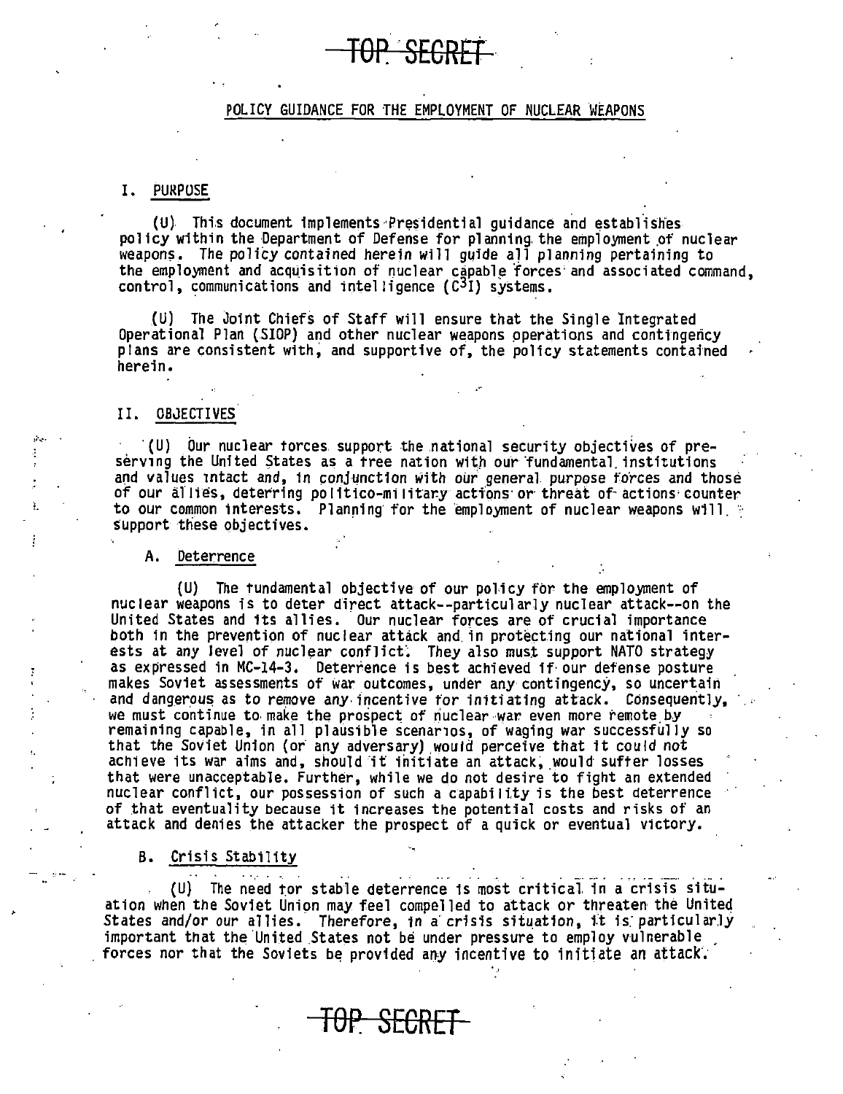## <del>-SEGRE</del>

#### POLICY GUIDANCE FOR THE EMPLOYMENT OF NUCLEAR WEAPONS

#### I. PURPOSE

(U) This document implements Presidential guidance and establishes policy within the Department of Defense for planning the employment of nuclear weapons. The policy contained herein will quide all planning pertaining to the employment and acquisition of nuclear capable forces and associated command, control, communications and intelligence  $(C<sup>3</sup>I)$  systems.

(U) The Joint Chiefs of Staff will ensure that the Single Integrated Operational Plan (.SIOP) and other nuclear weapons pperations and contingency plans are consistent with; and supportive of, the policy statements contained herein.

#### II. OBJECTIVES

 $(U)$  Our nuclear torces support the national security objectives of preserving the United States as a free nation with our fundamental institutions and values intact and, in conjunction with our general purpose forces and those of our allies, deterring politico-military actions or threat of actions counter to our common interests. Planning for the employment of nuclear weapons will. support these objectives.

#### A. Deterrence

{U) The tundamental objective of our policy fbr the employment of nuclear weapons is to deter direct attack--particularly nuclear attack--on the United States and its allies. Our nuclear forces are of crucial importance both in the prevention of nuclear attack and in protecting our national interests at any level of nuclear conflict. They also must support NATO strategy as expressed in MC-14-3. Deterrence is best achieved ff· our defense posture makes Soviet assessments of war outcomes, under any contingency, so uncertain and dangerous as to remove any incentive for initiating attack. Consequently, we must continue to make the prospect of nuclear war even more remote by remaining capable, in all plausible scenarios, of waging war successfully so that the Soviet Union (or any adversary) would perceive that it could not achieve its war aims and, should it initiate an attack, would suffer losses that were unacceptable. Further, while we do not desire to fight an extended nuclear conflict, our possession of such a capability is the best deterrence of that eventuality because it increases the potential costs and risks of an attack and denies the attacker the prospect of a quick or eventual victory.

B. Crisis Stability

 $(U)$  The need tor stable deterrence is most critical in a crisis situation when the Soviet Union may feel compelled to attack or threaten the United States and/or our allies. Therefore, in a crisis situation, it is particularly important that the United States not be under pressure to employ vulnerable forces nor that the Soviets be provided any incentive to initiate an attack.

**TOP SECRET**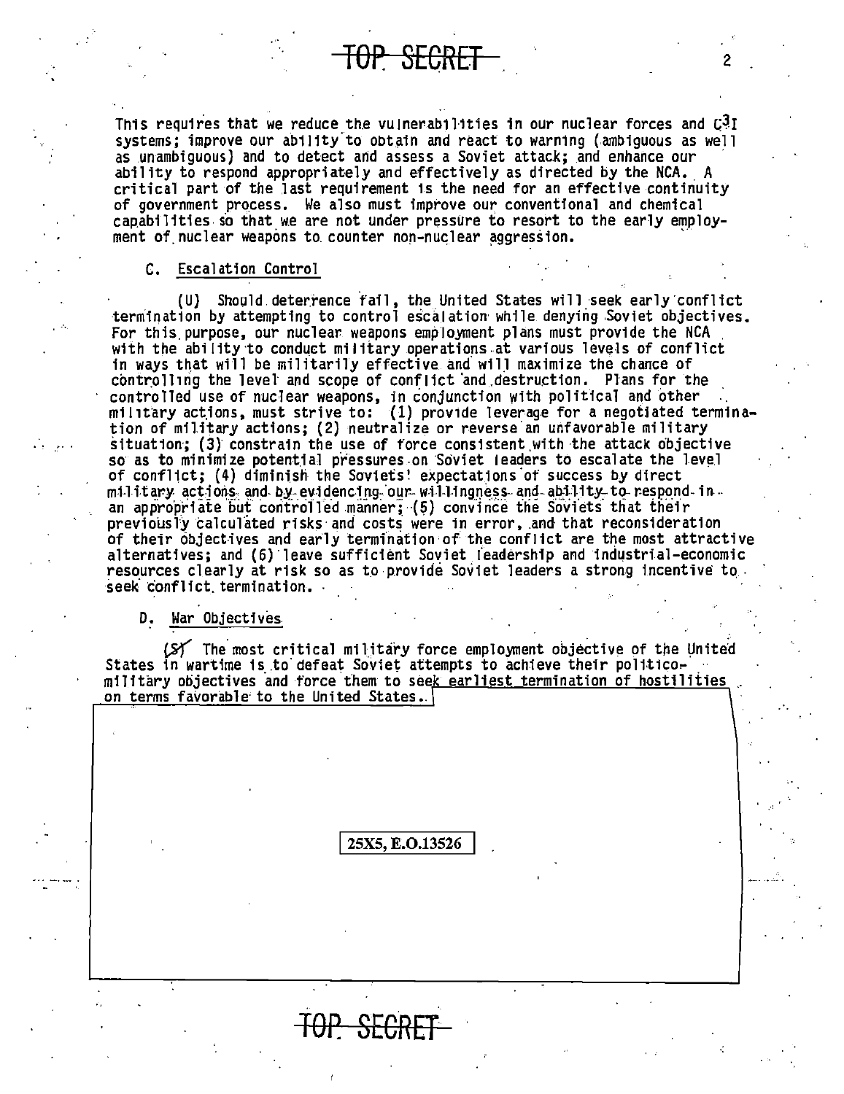This requires that we reduce the vulnerabilities in our nuclear forces and  $\mathbb{C}^3\mathbb{I}$ systems; improve our ability to obtain and react to warning (ambiguous as well as unambiquous) and to detect and assess a Soviet attack: and enhance our ability to respond appropriately and effectively as directed by the NCA. A critical part of the last requirement is the need for an effective continuity of government process. We also must improve our conventional and chemical capabilities so that we are not under pressure to resort to the early employment of nuclear weapons to counter non-nuclear aggression.

TOP SECRET

#### C. Escalation Control

(U) Should deterrence fail, the United States will seek early conflict termination by attempting to control escalation while denying Soviet objectives. For this purpose, our nuclear weapons employment plans must provide the NCA with the ability to conduct military operations at various levels of conflict in ways that will be militarily effective and will maximize the chance of controlling the level and scope of conflict and destruction. Plans for the controlled use of nuclear weapons, in conjunction with political and other military actions, must strive to: (1) provide leverage for a negotiated termination of military actions; (2) neutralize or reverse an unfavorable military situation; (3) constrain the use of force consistent with the attack objective so as to minimize potential pressures on Soviet leaders to escalate the level of conflict; (4) diminish the Soviets' expectations of success by direct military actions and by evidencing our willingness and ability to respond in. an appropriate but controlled manner;  $(5)$  convince the Soviets that their previously calculated risks and costs were in error, and that reconsideration of their objectives and early termination of the conflict are the most attractive alternatives; and (6) leave sufficient Soviet leadership and industrial-economic resources clearly at risk so as to provide Soviet leaders a strong incentive to. seek conflict termination.

#### D. War Objectives

(S) The most critical military force employment objective of the United States in wartime is to defeat Soviet attempts to achieve their politicomilitary objectives and force them to seek earliest termination of hostilities on terms favorable to the United States.

#### 25X5, E.O.13526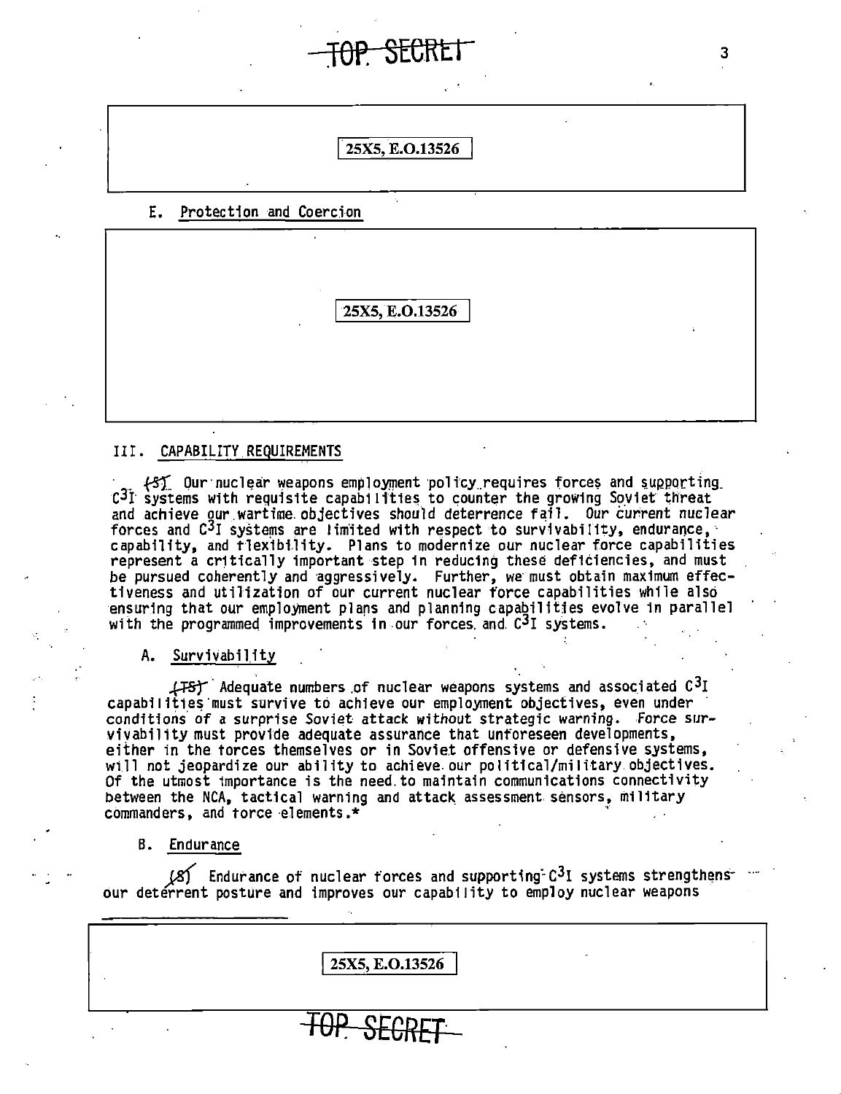#### 25X5, E.O.13526

3

#### E. Protection and Coercion

25X5, E.O.13526

#### III. CAPABILITY REQUIREMENTS

(S) Our nuclear weapons employment policy requires forces and supporting  $C<sup>3</sup>I$  systems with requisite capabilities to counter the growing Soviet threat and achieve our wartime objectives should deterrence fail. Our current nuclear forces and C<sup>3</sup>I systems are limited with respect to survivability, endurance, capability, and flexibility. Plans to modernize our nuclear force capabilities represent a critically important step in reducing these deficiencies, and must be pursued coherently and aggressively. Further, we must obtain maximum effec-<br>tiveness and utilization of our current nuclear force capabilities while also ensuring that our employment plans and planning capabilities evolve in parallel with the programmed improvements in our forces and  $C<sup>3</sup>I$  systems.

A. Survivability

(FS) Adequate numbers of nuclear weapons systems and associated  $C^3I$ capabilities must survive to achieve our employment objectives, even under conditions of a surprise Soviet attack without strategic warning. Force survivability must provide adequate assurance that unforeseen developments, either in the forces themselves or in Soviet offensive or defensive systems, will not jeopardize our ability to achieve our political/military objectives.<br>Of the utmost importance is the need to maintain communications connectivity between the NCA, tactical warning and attack assessment sensors, military commanders, and force elements.\*

B. Endurance

 $(X)$  Endurance of nuclear forces and supporting  $C^3$ I systems strengthens our deterrent posture and improves our capability to employ nuclear weapons

25X5, E.O.13526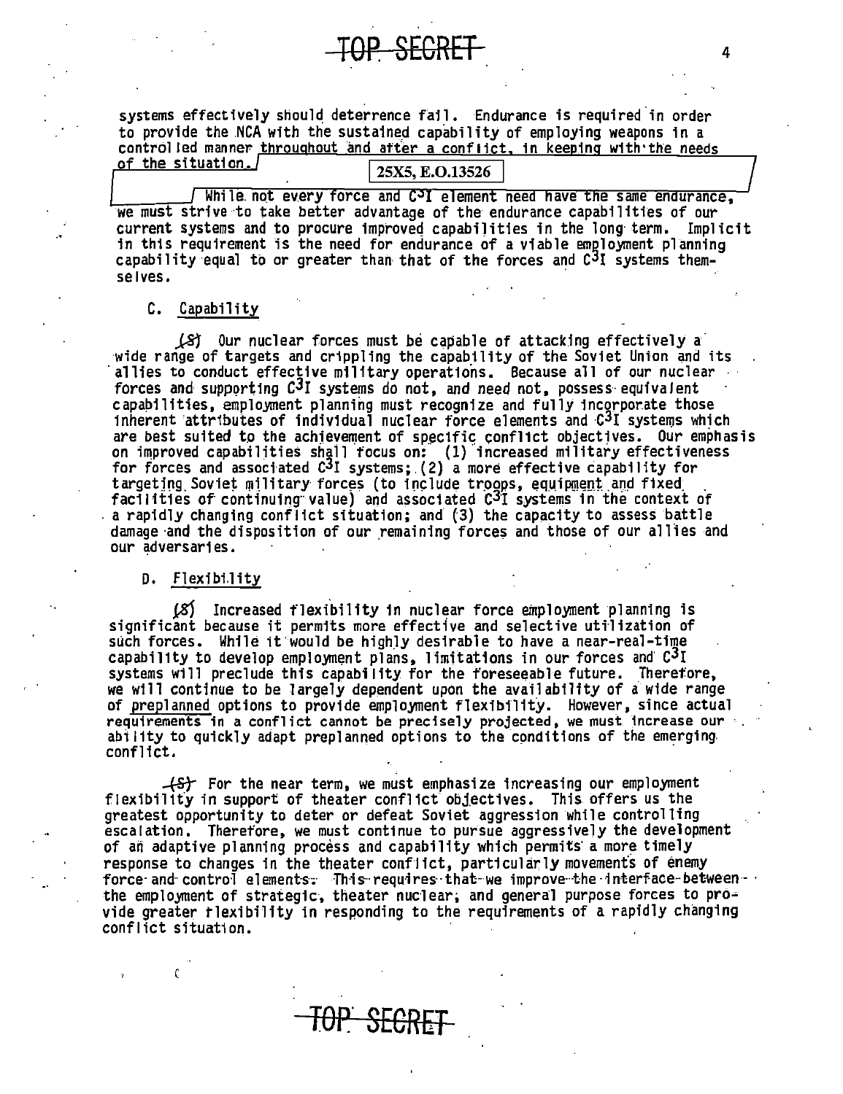systems effectively should deterrence fail. Endurance is required in order to provide the NCA with the sustained capability of employing weapons in a controlled manner throughout and after a conflict, in keeping with the needs

#### of the situation. 25X5, E.O.13526 While not every force and C<sup>3</sup>I element need have the same endurance,

we must strive to take better advantage of the endurance capabilities of our current systems and to procure improved capabilities in the long term. Implicit in this requirement is the need for endurance of a viable employment planning capability equal to or greater than that of the forces and C<sup>3</sup>I systems themselves.

#### C. Capability

(S) Our nuclear forces must be capable of attacking effectively a wide range of targets and crippling the capability of the Soviet Union and its allies to conduct effective military operations. Because all of our nuclear<br>forces and supporting C<sup>3</sup>I systems do not, and need not, possess equivalent capabilities, employment planning must recognize and fully incorporate those inherent attributes of individual nuclear force elements and C<sup>3</sup>I systems which are best suited to the achievement of specific conflict objectives. Our emphasis on improved capabilities shall focus on: (1) increased military effectiveness<br>for forces and associated C<sup>3</sup>I systems; (2) a more effective capability for targeting Soviet military forces (to include troops, equipment and fixed facilities of continuing value) and associated C<sup>3</sup>I systems in the context of a rapidly changing conflict situation; and (3) the capacity to assess battle damage and the disposition of our remaining forces and those of our allies and our adversaries.

#### D. Flexibility

(S) Increased flexibility in nuclear force employment planning is significant because it permits more effective and selective utilization of such forces. While it would be highly desirable to have a near-real-time capability to develop employment plans, limitations in our forces and C<sup>3</sup>I systems will preclude this capability for the foreseeable future. Therefore, we will continue to be largely dependent upon the availability of a wide range of preplanned options to provide employment flexibility. However, since actual requirements in a conflict cannot be precisely projected, we must increase our ability to quickly adapt preplanned options to the conditions of the emerging. conflict.

 $+$ St For the near term, we must emphasize increasing our employment flexibility in support of theater conflict objectives. This offers us the greatest opportunity to deter or defeat Soviet aggression while controlling escalation. Therefore, we must continue to pursue aggressively the development of an adaptive planning process and capability which permits a more timely response to changes in the theater conflict, particularly movements of enemy force and control elements. This requires that we improve the interface between the employment of strategic, theater nuclear, and general purpose forces to provide greater flexibility in responding to the requirements of a rapidly changing conflict situation.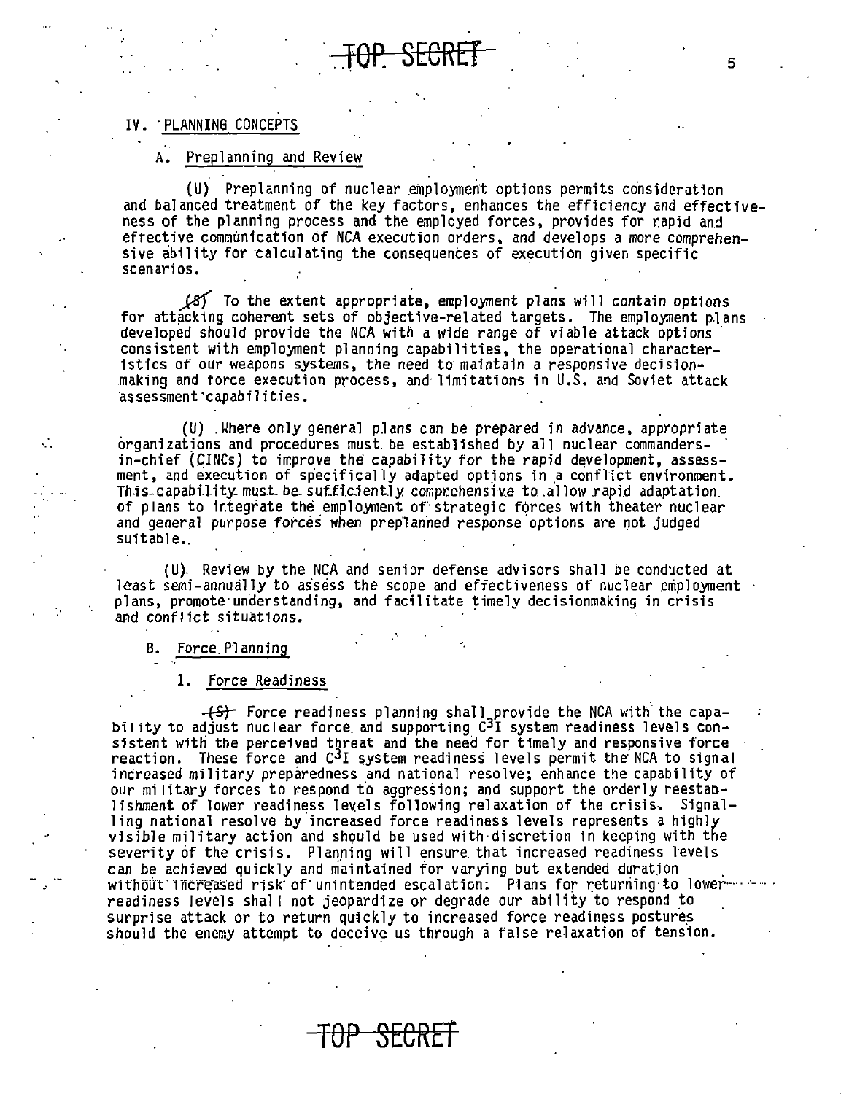#### IV. PLANNING CONCEPTS

#### Preplanning and Review Α.

(U) Preplanning of nuclear employment options permits consideration and balanced treatment of the key factors, enhances the efficiency and effectiveness of the planning process and the employed forces, provides for rapid and effective communication of NCA execution orders, and develops a more comprehensive ability for calculating the consequences of execution given specific scenarios.

(8) To the extent appropriate, employment plans will contain options for attacking coherent sets of objective-related targets. The employment plans developed should provide the NCA with a wide range of viable attack options consistent with employment planning capabilities, the operational characteristics of our weapons systems, the need to maintain a responsive decisionmaking and force execution process, and limitations in U.S. and Soviet attack assessment capabilities.

(U) Where only general plans can be prepared in advance, appropriate organizations and procedures must be established by all nuclear commandersin-chief (CINCs) to improve the capability for the rapid development, assessment, and execution of specifically adapted options in a conflict environment. This capability must be sufficiently comprehensive to allow rapid adaptation. of plans to integrate the employment of strategic forces with theater nuclear and general purpose forces when preplanned response options are not judged suitable.

(U). Review by the NCA and senior defense advisors shall be conducted at least semi-annually to assess the scope and effectiveness of nuclear employment plans, promote understanding, and facilitate timely decisionmaking in crisis and conflict situations.

#### B. Force Planning

#### 1. Force Readiness

(+S) Force readiness planning shall provide the NCA with the capability to adjust nuclear force and supporting  $C^3$ I system readiness levels consistent with the perceived threat and the need for timely and responsive force reaction. These force and C<sup>3</sup>I system readiness levels permit the NCA to signal increased military preparedness and national resolve; enhance the capability of our military forces to respond to aggression; and support the orderly reestablishment of lower readiness levels following relaxation of the crisis. Signalling national resolve by increased force readiness levels represents a highly visible military action and should be used with discretion in keeping with the severity of the crisis. Planning will ensure that increased readiness levels can be achieved quickly and maintained for varying but extended duration without increased risk of unintended escalation. Plans for returning to lowerreadiness levels shall not jeopardize or degrade our ability to respond to surprise attack or to return quickly to increased force readiness postures should the enemy attempt to deceive us through a false relaxation of tension.

5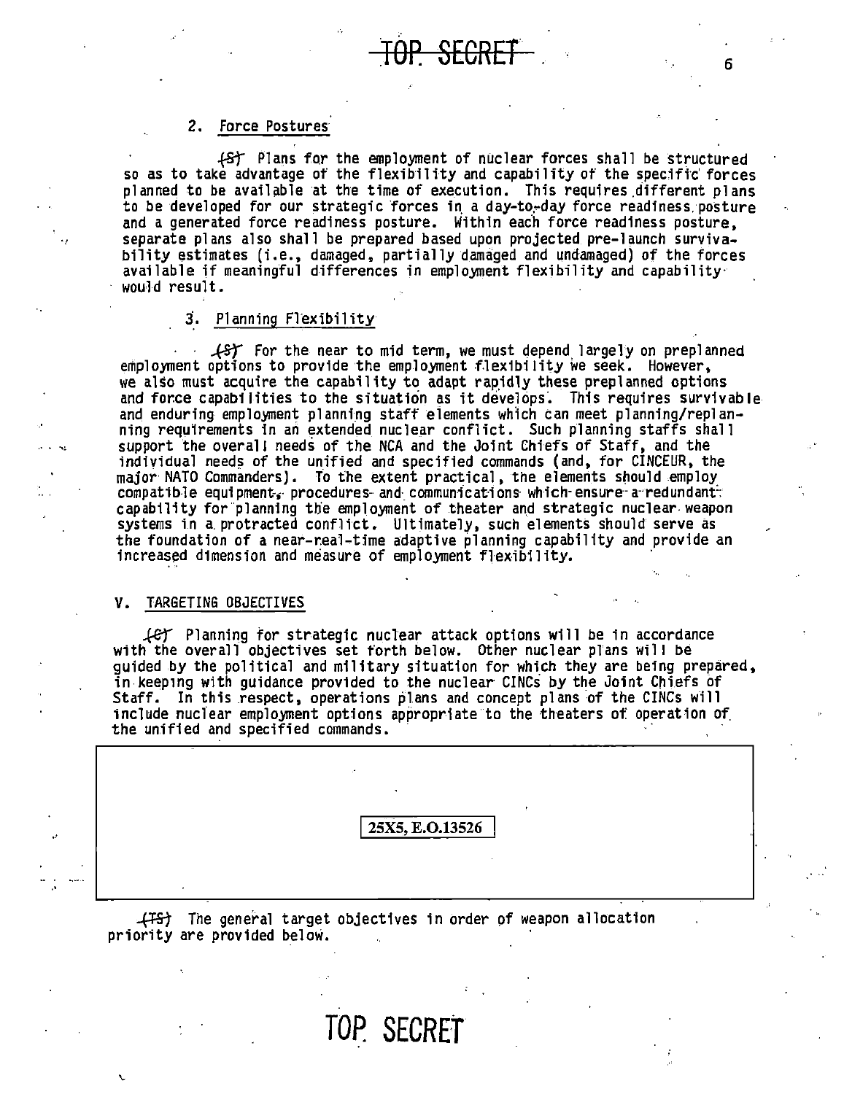#### 2. Force Postures

f5t Plans for the employment of nuclear forces shall be structured so as to take advantage of the flexibility and capability of the specific forces planned to be available at the time of execution. This requires different plans to be developed for our strategic forces in a day-to-day force readiness posture<br>and a generated force readiness posture. Within each force readiness posture, separate plans also shall be prepared based upon projected pre-launch survivability estimates (i.e., damaged, partially damaged and undamaged) of the forces available if meaningful differences in employment flexibility and capability would result.

#### 3. Planning Flexibility

 $\sqrt{5}$  For the near to mid term, we must depend largely on preplanned employment options to provide the employment flexibility we seek. However, we also must acquire the capability to adapt rapidly these preplanned options and force capabilities to the situation as it develops. This requires survivable and enduring employment planning staff elements which can meet planning/replanning requ1rements in an extended nuclear conflict. Such planning staffs shall support the overall needs of the NCA and the Joint Chiefs of Staff, and the individual needs of the unified and specified commands (and, for CINCEUR, the major· NATO Commanders). To the extent practical, the elements snould employ compatible equipment, procedures and communications which ensure a redundant. capability for planning the employment of theater and strategic nuclear weapon systems in a. protracted conflict. Ultimately, such elements should serve as the foundation of a near-real-time adaptive planning capability and provide an increased dimension and measure of employment flexibility.

#### V. TARGETING OBJECTIVES

. .  $\sim$ 

·'

*..f.er* Planning for strategic nuclear attack options will be in accordance with the overall objectives set forth below. Other nuclear plans will be quided by the political and military situation for which they are being prepared, in.keeping with guidance provided to the nuclear CINCs by the Joint Chiefs of Staff. In this respect, operations plans and concept plans of the CINCs will include nuclear employment options appropriate to the theaters ot: operation of. the unified and specified commands.

25X5, E.O.13526

*-f!=&1* The general target objectives in order of weapon allocation priority are provided below.

**TOP. SECRET** <sup>6</sup>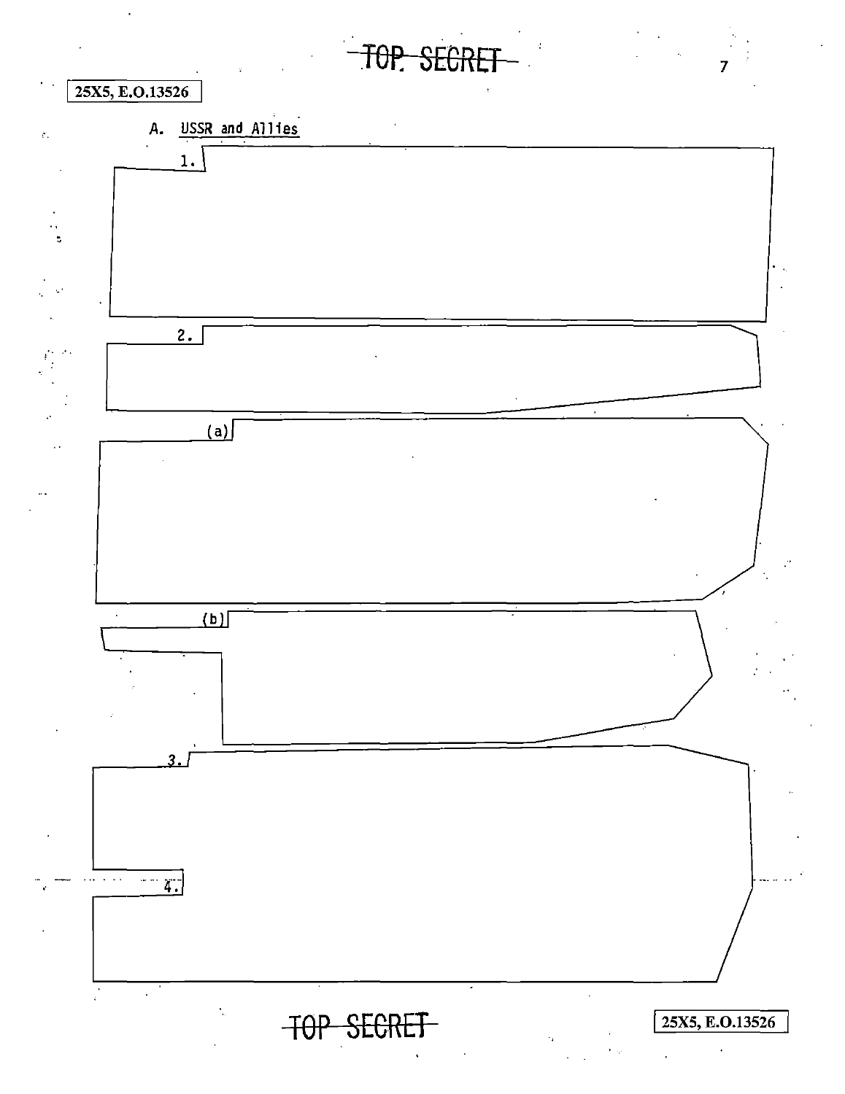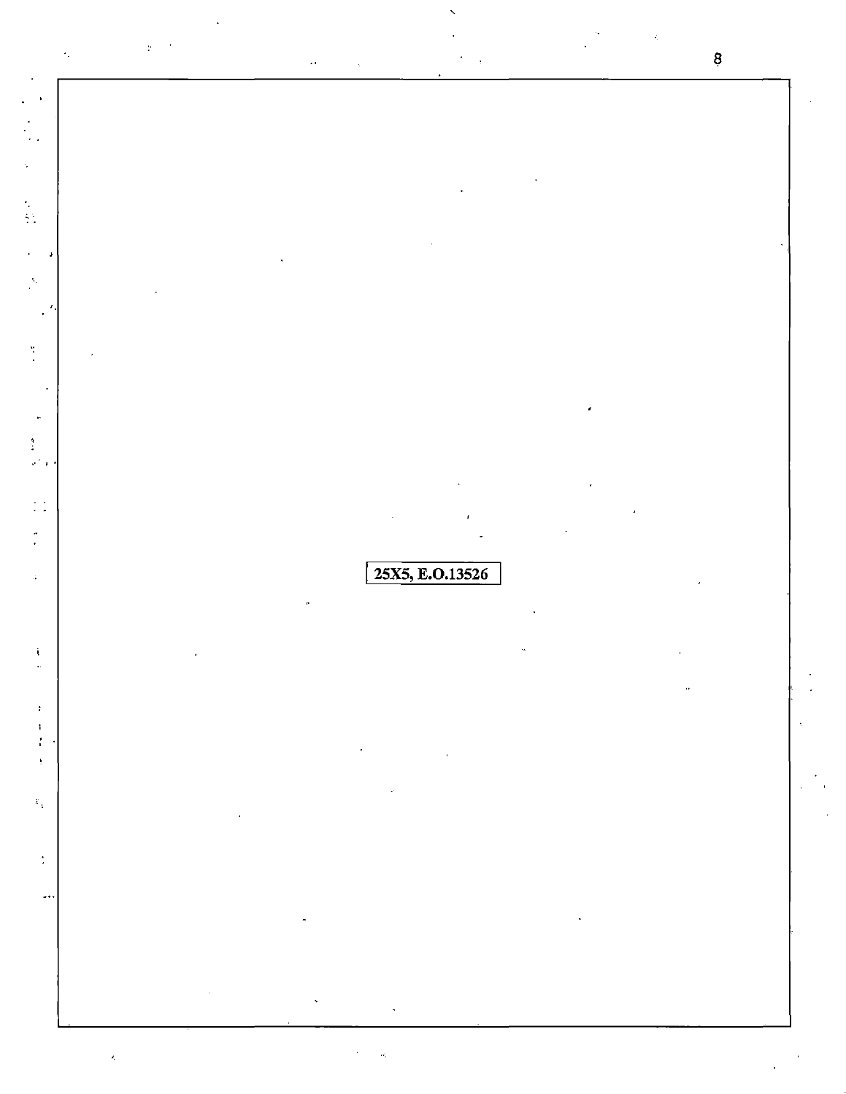|                |                                                                                                                                                                                                                                                                                                                                                                                                                                                             |  |                                                                                                                                                                                                                                                                                                                                                                                                                                                                                |                                                                                                                                                                                                                                                                                                                                                                                                                                                                                                                                                                                                                               | 8 |
|----------------|-------------------------------------------------------------------------------------------------------------------------------------------------------------------------------------------------------------------------------------------------------------------------------------------------------------------------------------------------------------------------------------------------------------------------------------------------------------|--|--------------------------------------------------------------------------------------------------------------------------------------------------------------------------------------------------------------------------------------------------------------------------------------------------------------------------------------------------------------------------------------------------------------------------------------------------------------------------------|-------------------------------------------------------------------------------------------------------------------------------------------------------------------------------------------------------------------------------------------------------------------------------------------------------------------------------------------------------------------------------------------------------------------------------------------------------------------------------------------------------------------------------------------------------------------------------------------------------------------------------|---|
|                |                                                                                                                                                                                                                                                                                                                                                                                                                                                             |  |                                                                                                                                                                                                                                                                                                                                                                                                                                                                                |                                                                                                                                                                                                                                                                                                                                                                                                                                                                                                                                                                                                                               |   |
|                |                                                                                                                                                                                                                                                                                                                                                                                                                                                             |  |                                                                                                                                                                                                                                                                                                                                                                                                                                                                                |                                                                                                                                                                                                                                                                                                                                                                                                                                                                                                                                                                                                                               |   |
|                |                                                                                                                                                                                                                                                                                                                                                                                                                                                             |  |                                                                                                                                                                                                                                                                                                                                                                                                                                                                                |                                                                                                                                                                                                                                                                                                                                                                                                                                                                                                                                                                                                                               |   |
|                |                                                                                                                                                                                                                                                                                                                                                                                                                                                             |  |                                                                                                                                                                                                                                                                                                                                                                                                                                                                                |                                                                                                                                                                                                                                                                                                                                                                                                                                                                                                                                                                                                                               |   |
|                |                                                                                                                                                                                                                                                                                                                                                                                                                                                             |  |                                                                                                                                                                                                                                                                                                                                                                                                                                                                                |                                                                                                                                                                                                                                                                                                                                                                                                                                                                                                                                                                                                                               |   |
|                |                                                                                                                                                                                                                                                                                                                                                                                                                                                             |  |                                                                                                                                                                                                                                                                                                                                                                                                                                                                                |                                                                                                                                                                                                                                                                                                                                                                                                                                                                                                                                                                                                                               |   |
|                |                                                                                                                                                                                                                                                                                                                                                                                                                                                             |  |                                                                                                                                                                                                                                                                                                                                                                                                                                                                                |                                                                                                                                                                                                                                                                                                                                                                                                                                                                                                                                                                                                                               |   |
|                |                                                                                                                                                                                                                                                                                                                                                                                                                                                             |  |                                                                                                                                                                                                                                                                                                                                                                                                                                                                                |                                                                                                                                                                                                                                                                                                                                                                                                                                                                                                                                                                                                                               |   |
|                |                                                                                                                                                                                                                                                                                                                                                                                                                                                             |  |                                                                                                                                                                                                                                                                                                                                                                                                                                                                                |                                                                                                                                                                                                                                                                                                                                                                                                                                                                                                                                                                                                                               |   |
|                |                                                                                                                                                                                                                                                                                                                                                                                                                                                             |  |                                                                                                                                                                                                                                                                                                                                                                                                                                                                                |                                                                                                                                                                                                                                                                                                                                                                                                                                                                                                                                                                                                                               |   |
|                |                                                                                                                                                                                                                                                                                                                                                                                                                                                             |  |                                                                                                                                                                                                                                                                                                                                                                                                                                                                                |                                                                                                                                                                                                                                                                                                                                                                                                                                                                                                                                                                                                                               |   |
| $\bullet$      |                                                                                                                                                                                                                                                                                                                                                                                                                                                             |  |                                                                                                                                                                                                                                                                                                                                                                                                                                                                                |                                                                                                                                                                                                                                                                                                                                                                                                                                                                                                                                                                                                                               |   |
|                |                                                                                                                                                                                                                                                                                                                                                                                                                                                             |  |                                                                                                                                                                                                                                                                                                                                                                                                                                                                                |                                                                                                                                                                                                                                                                                                                                                                                                                                                                                                                                                                                                                               |   |
|                |                                                                                                                                                                                                                                                                                                                                                                                                                                                             |  |                                                                                                                                                                                                                                                                                                                                                                                                                                                                                |                                                                                                                                                                                                                                                                                                                                                                                                                                                                                                                                                                                                                               |   |
|                |                                                                                                                                                                                                                                                                                                                                                                                                                                                             |  | 25X5, E.O.13526                                                                                                                                                                                                                                                                                                                                                                                                                                                                |                                                                                                                                                                                                                                                                                                                                                                                                                                                                                                                                                                                                                               |   |
|                |                                                                                                                                                                                                                                                                                                                                                                                                                                                             |  |                                                                                                                                                                                                                                                                                                                                                                                                                                                                                |                                                                                                                                                                                                                                                                                                                                                                                                                                                                                                                                                                                                                               |   |
|                |                                                                                                                                                                                                                                                                                                                                                                                                                                                             |  |                                                                                                                                                                                                                                                                                                                                                                                                                                                                                |                                                                                                                                                                                                                                                                                                                                                                                                                                                                                                                                                                                                                               |   |
|                |                                                                                                                                                                                                                                                                                                                                                                                                                                                             |  |                                                                                                                                                                                                                                                                                                                                                                                                                                                                                | $\label{eq:1.1} \left\langle \left( \frac{\partial}{\partial x} \right) \right\rangle_{\mathcal{D}} = \left\langle \left( \frac{\partial}{\partial x} \right) \right\rangle_{\mathcal{D}} = \left\langle \left( \frac{\partial}{\partial x} \right) \right\rangle_{\mathcal{D}} = \left\langle \left( \frac{\partial}{\partial x} \right) \right\rangle_{\mathcal{D}} = \left\langle \left( \frac{\partial}{\partial x} \right) \right\rangle_{\mathcal{D}} = \left\langle \left( \frac{\partial}{\partial x} \right) \right\rangle_{\mathcal{D}} = \left\langle \left( \frac{\partial}{\partial x} \right) \right\rangle_{\$ |   |
|                |                                                                                                                                                                                                                                                                                                                                                                                                                                                             |  |                                                                                                                                                                                                                                                                                                                                                                                                                                                                                |                                                                                                                                                                                                                                                                                                                                                                                                                                                                                                                                                                                                                               |   |
|                | $\mathcal{L}(\mathcal{L}(\mathcal{L}(\mathcal{L}(\mathcal{L}(\mathcal{L}(\mathcal{L}(\mathcal{L}(\mathcal{L}(\mathcal{L}(\mathcal{L}(\mathcal{L}(\mathcal{L}(\mathcal{L}(\mathcal{L}(\mathcal{L}(\mathcal{L}(\mathcal{L}(\mathcal{L}(\mathcal{L}(\mathcal{L}(\mathcal{L}(\mathcal{L}(\mathcal{L}(\mathcal{L}(\mathcal{L}(\mathcal{L}(\mathcal{L}(\mathcal{L}(\mathcal{L}(\mathcal{L}(\mathcal{L}(\mathcal{L}(\mathcal{L}(\mathcal{L}(\mathcal{L}(\mathcal{$ |  |                                                                                                                                                                                                                                                                                                                                                                                                                                                                                |                                                                                                                                                                                                                                                                                                                                                                                                                                                                                                                                                                                                                               |   |
|                |                                                                                                                                                                                                                                                                                                                                                                                                                                                             |  | $\label{eq:2.1} \mathcal{L}(\mathcal{L}(\mathcal{L})) = \mathcal{L}(\mathcal{L}(\mathcal{L})) = \mathcal{L}(\mathcal{L}(\mathcal{L})) = \mathcal{L}(\mathcal{L}(\mathcal{L})) = \mathcal{L}(\mathcal{L}(\mathcal{L})) = \mathcal{L}(\mathcal{L}(\mathcal{L})) = \mathcal{L}(\mathcal{L}(\mathcal{L})) = \mathcal{L}(\mathcal{L}(\mathcal{L})) = \mathcal{L}(\mathcal{L}(\mathcal{L})) = \mathcal{L}(\mathcal{L}(\mathcal{L})) = \mathcal{L}(\mathcal{L}(\mathcal{L})) = \math$ |                                                                                                                                                                                                                                                                                                                                                                                                                                                                                                                                                                                                                               |   |
| í,             | the control of the control of the control of                                                                                                                                                                                                                                                                                                                                                                                                                |  |                                                                                                                                                                                                                                                                                                                                                                                                                                                                                |                                                                                                                                                                                                                                                                                                                                                                                                                                                                                                                                                                                                                               |   |
| $\ddot{\cdot}$ |                                                                                                                                                                                                                                                                                                                                                                                                                                                             |  |                                                                                                                                                                                                                                                                                                                                                                                                                                                                                |                                                                                                                                                                                                                                                                                                                                                                                                                                                                                                                                                                                                                               |   |
| $\ddotsc$      |                                                                                                                                                                                                                                                                                                                                                                                                                                                             |  |                                                                                                                                                                                                                                                                                                                                                                                                                                                                                |                                                                                                                                                                                                                                                                                                                                                                                                                                                                                                                                                                                                                               |   |
|                | the contract of the contract of the contract of the contract of the contract of the contract of                                                                                                                                                                                                                                                                                                                                                             |  |                                                                                                                                                                                                                                                                                                                                                                                                                                                                                |                                                                                                                                                                                                                                                                                                                                                                                                                                                                                                                                                                                                                               |   |
|                |                                                                                                                                                                                                                                                                                                                                                                                                                                                             |  |                                                                                                                                                                                                                                                                                                                                                                                                                                                                                |                                                                                                                                                                                                                                                                                                                                                                                                                                                                                                                                                                                                                               |   |
|                |                                                                                                                                                                                                                                                                                                                                                                                                                                                             |  |                                                                                                                                                                                                                                                                                                                                                                                                                                                                                |                                                                                                                                                                                                                                                                                                                                                                                                                                                                                                                                                                                                                               |   |

 $\frac{1}{2}$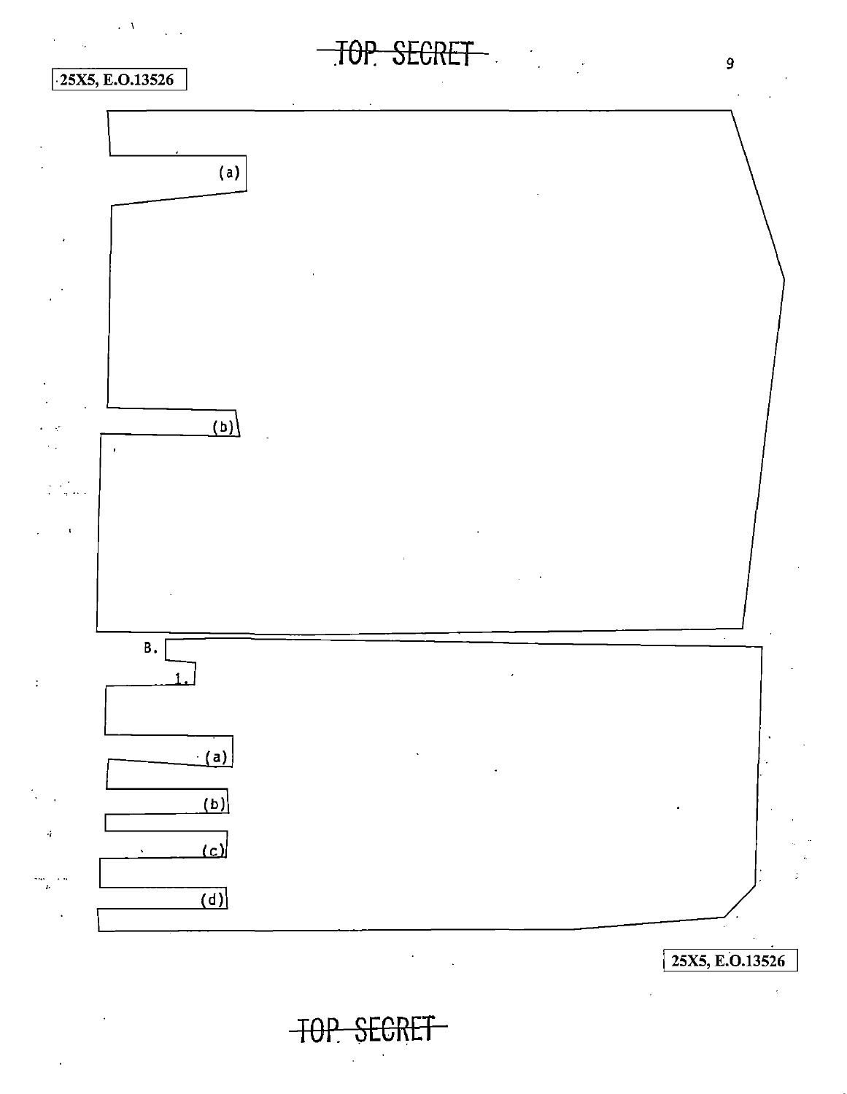

## $25X5, E.0.13526$

 $\ddot{\cdot}$ 

 $\lambda$ 



**TOP SECRET** 

 $\overline{9}$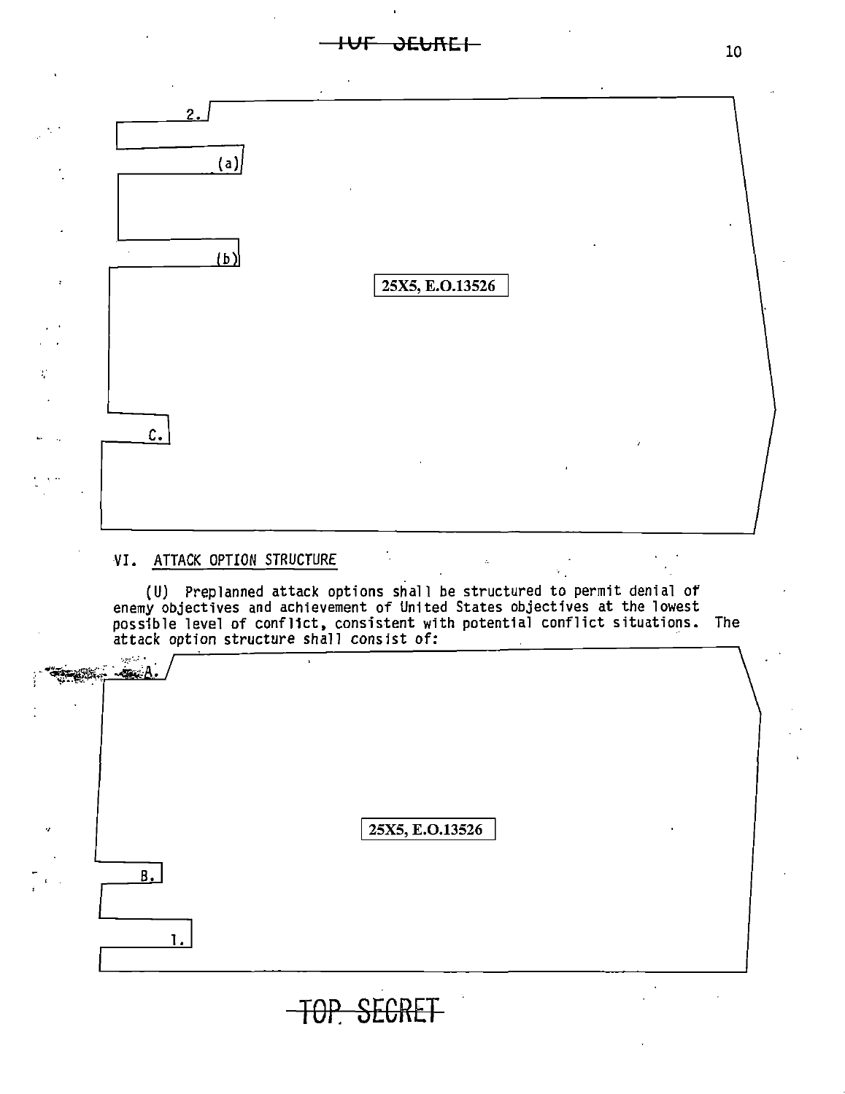**IUF JEUREI** 



#### VI. ATTACK OPTION STRUCTURE

(U) Preplanned attack options shall be structured to permit denial of enemy objectives and achievement of United States objectives at the lowest possible level of conflict, consistent with potential conflict situations. The attack option structure shall consist of:

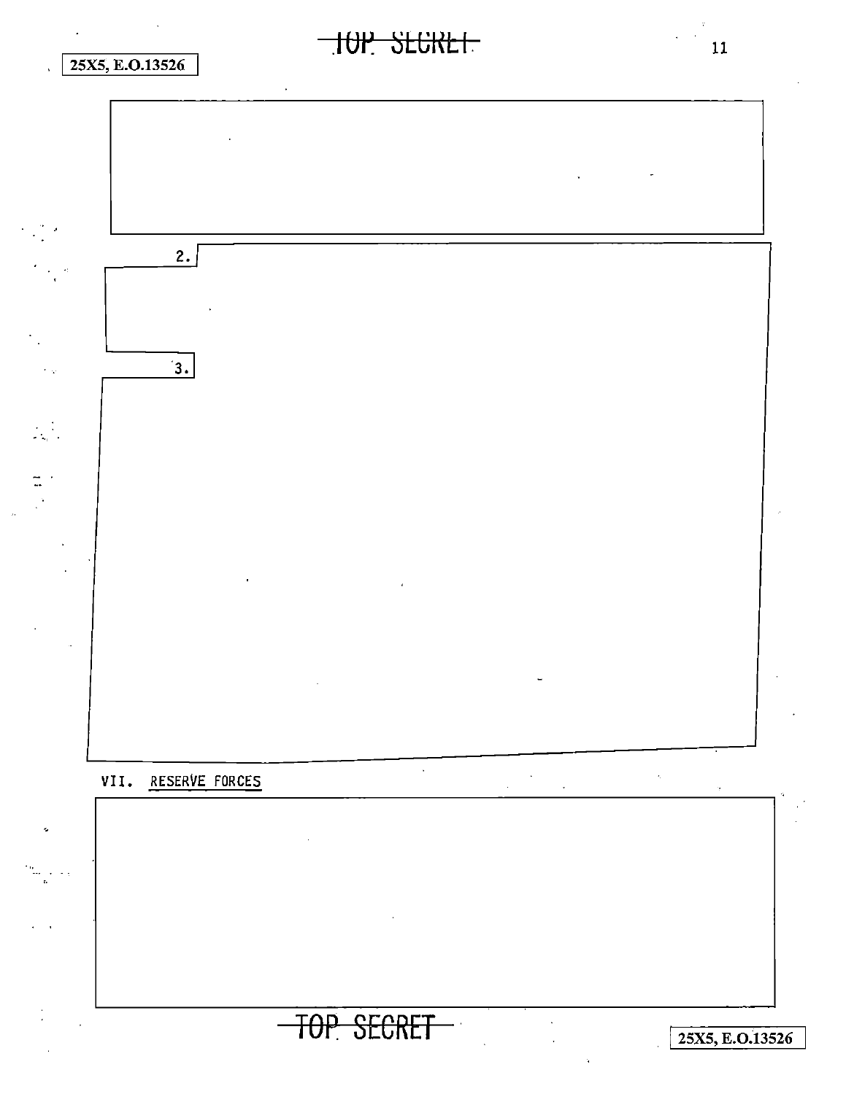## 25X5, E.O.13526





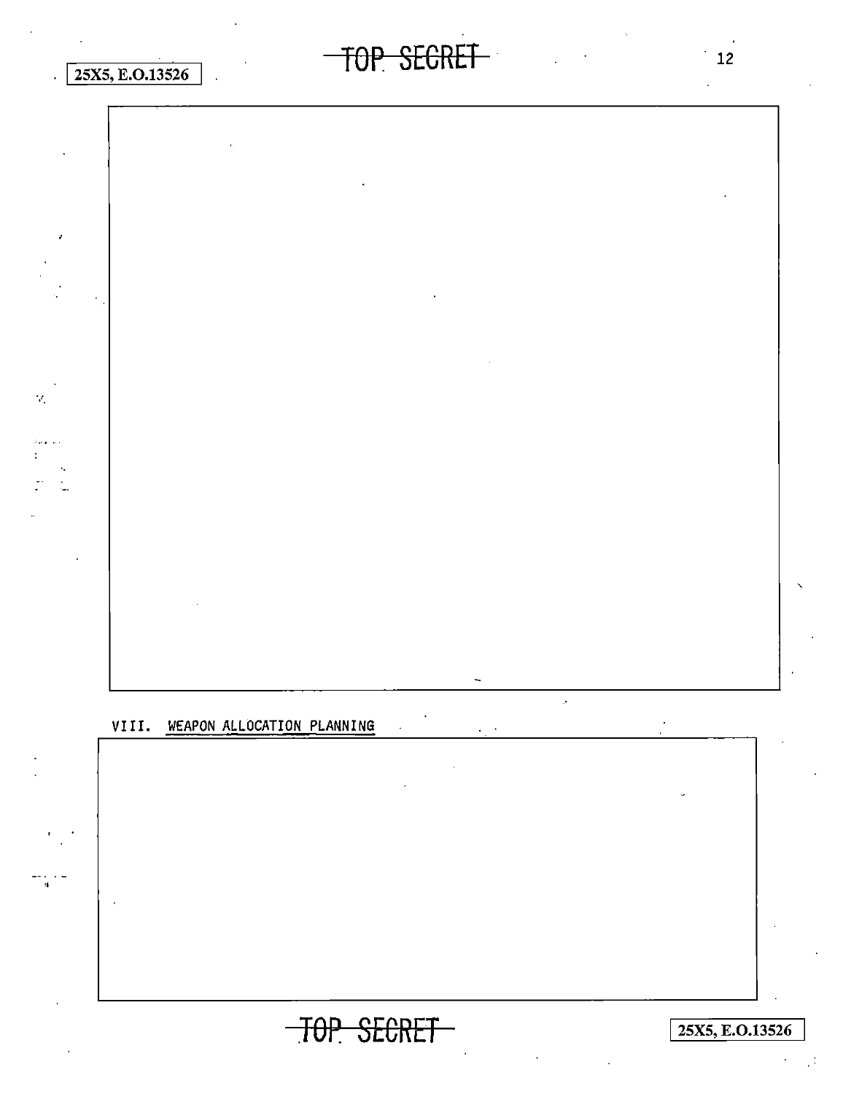

### VIII. WEAPON ALLOCATION PLANNING

TOP SECRET

25X5, E.O.13526

 $\mathbb{R}^4$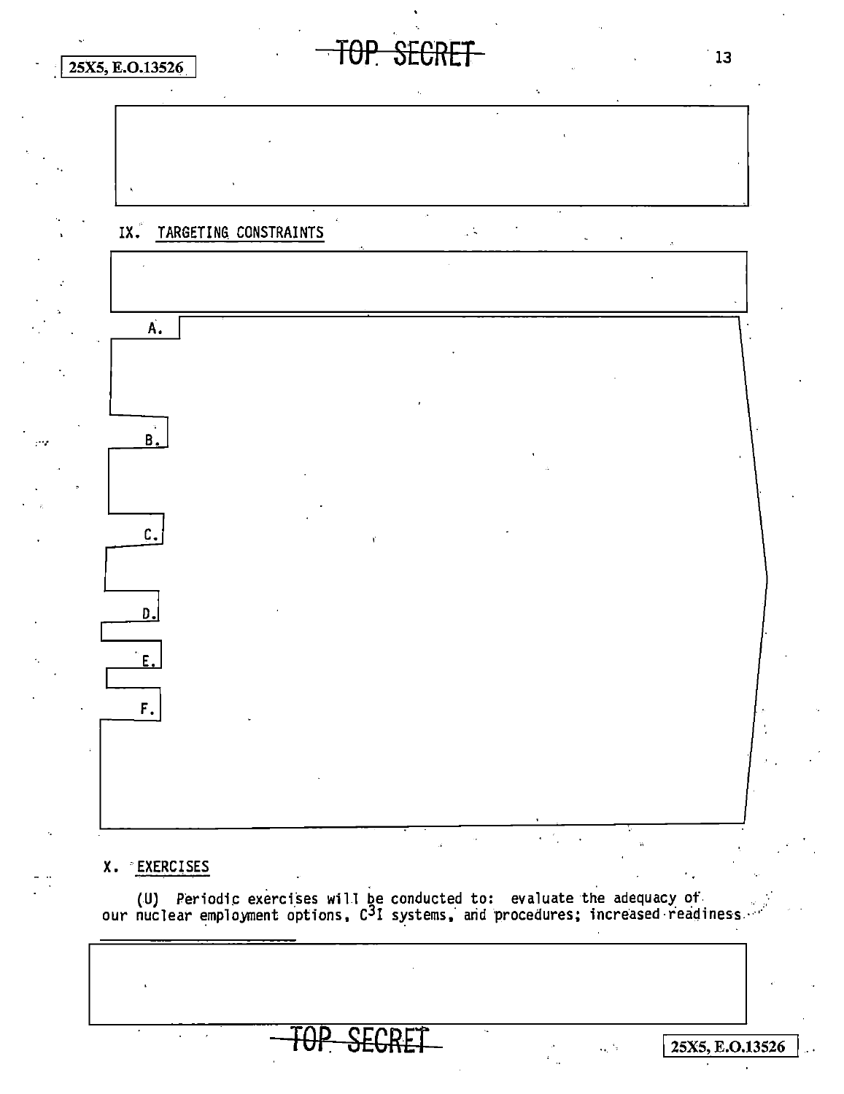

TOP SECRET

 $\mathbf{r}$ 

### X. EXERCISES

(U) Periodic exercises will be conducted to: evaluate the adequacy of our nuclear employment options,  $C^3I$  systems, and procedures; increased readiness

<del>TOP SECRE</del>

 $13$ 

25X5, E.O.13526

 $\epsilon_{\rm b}$   $^4$  s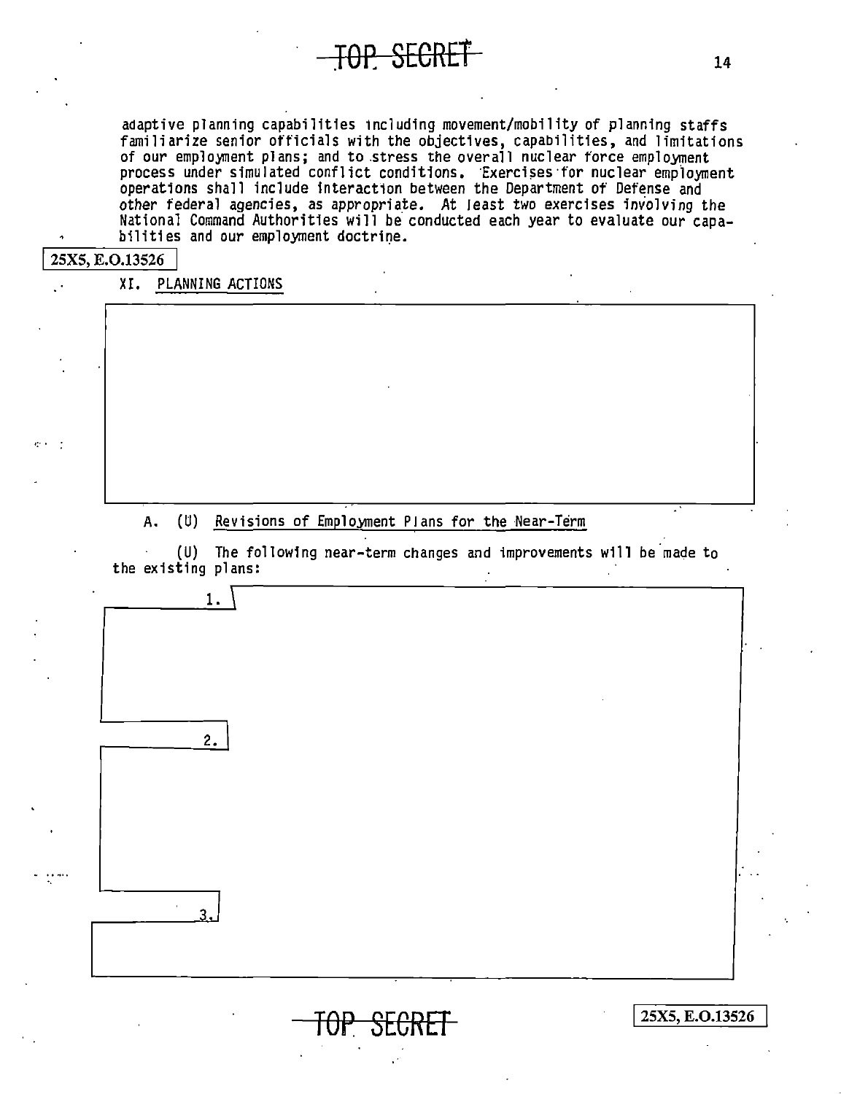adaptive planning capabilities including movement/mobility of planning staffs familiarize senior officials with the objectives, capabilities, and limitations of our employment plans; and to stress the overall nuclear force employment process under simulated conflict conditions. Exercises for nuclear employment operations shall include interaction between the Department of Defense and other federal agencies, as appropriate. At least two exercises involving the National Command Authorities will be conducted each year to evaluate our capabilities and our employment doctrine.

**TOP SECRET** 

#### 25X5, E.O.13526

XI. PLANNING ACTIONS

#### (U) Revisions of Employment Plans for the Near-Term Α.

(U) The following near-term changes and improvements will be made to the existing plans:



FO<del>P SECRET</del>

25X5, E.O.13526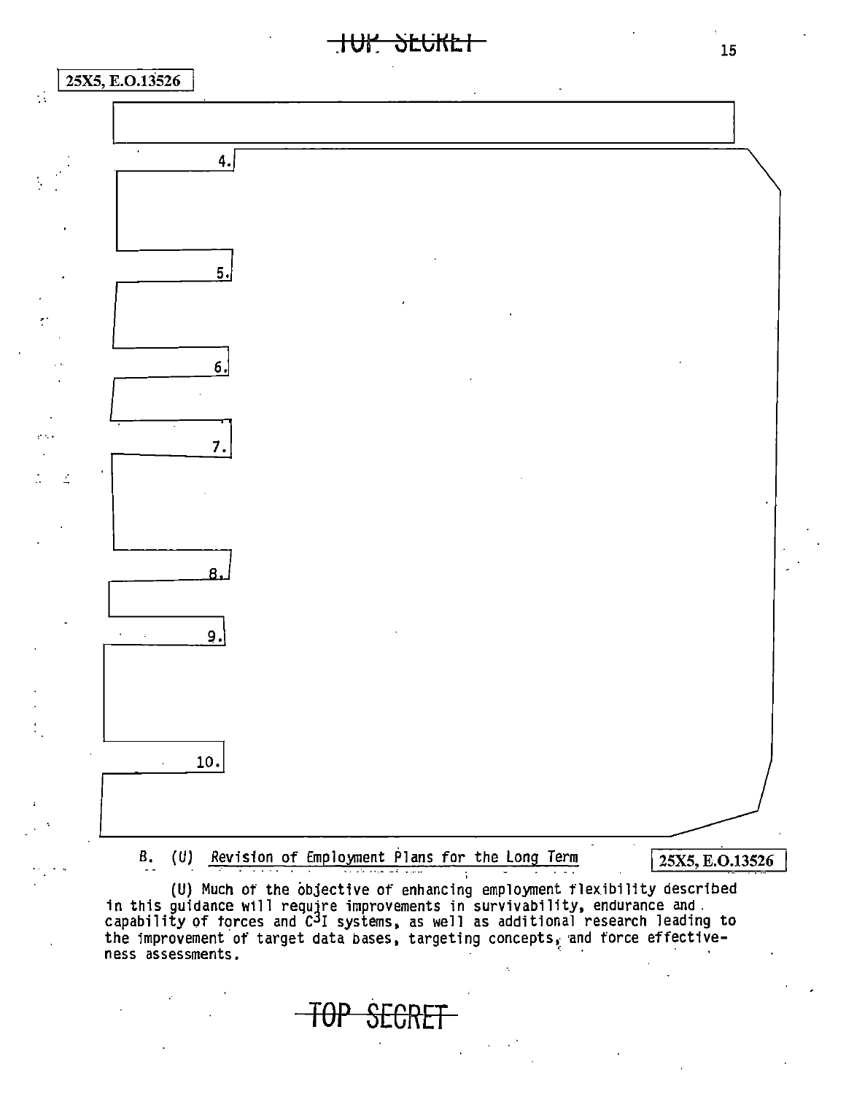**.IUI: SECKET** 



I25X5, E.0.13526 (U) Revision of Employment Plans for the Long Term B.

(U) Much of the objective of enhancing employment flexibility described in this guidance w1ll require improvements in survivability, endurance and. capability of torces and  $\widetilde{c}^3$ I systems, as well as additional research leading to the improvement of target data bases, targeting concepts, and force effectiveness assessments. ''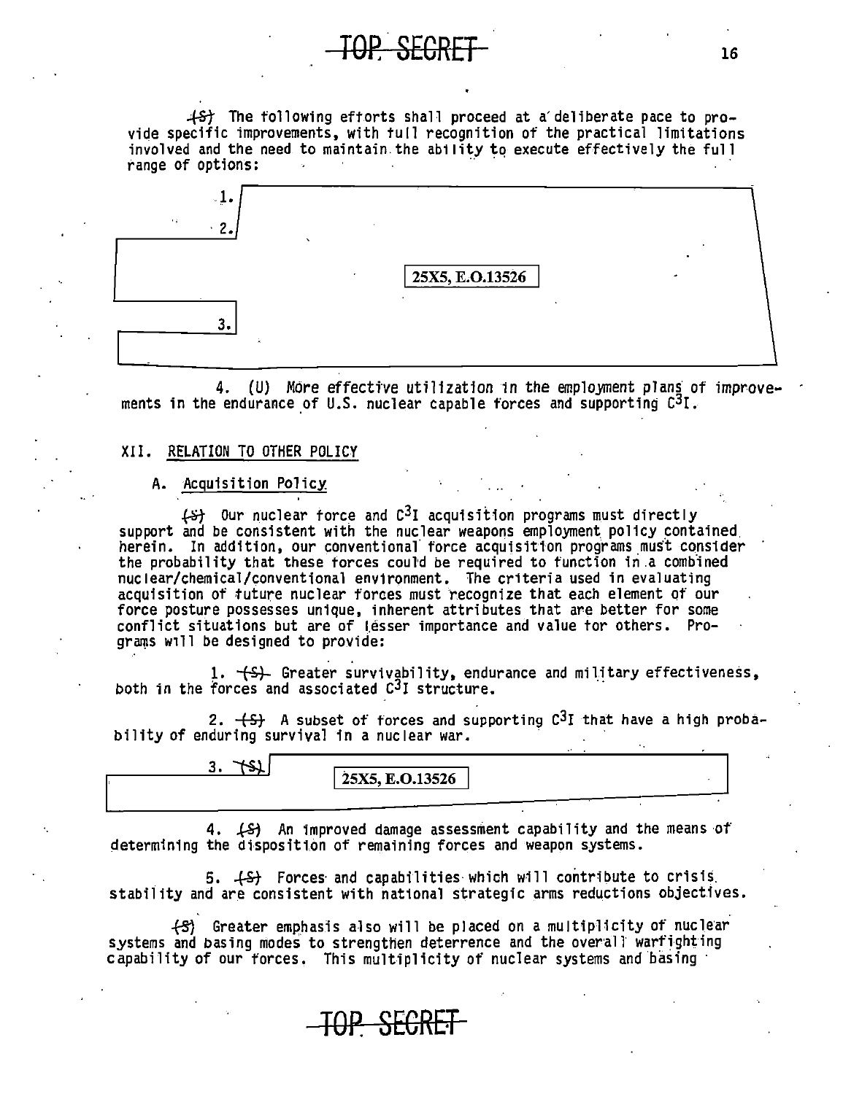$+$ S) The following eftorts shall proceed at a' deliberate pace to provide specific improvements, with tull recognition of the practical limitations involved and the need to maintain.the ability to execute effectively the full range of options:

| -⊥•<br>$\sim 40$<br>$\overline{2}$ |                         |  |
|------------------------------------|-------------------------|--|
|                                    | $\vert$ 25X5, E.O.13526 |  |
|                                    |                         |  |

4. (U) More effective utilization in the employment plans of improvements in the endurance of U.S. nuclear capable forces and supporting  $C^{3}I$ .

#### XII. RELATION TO OTHER POLICY

#### A. Acquisition Policy

 $~\leftarrow~$  0ur nuclear force and C<sup>3</sup>I acquisition programs must directly support and be consistent with the nuclear weapons employment policy contained. herein. In addition, our conventional force acquisition programs must consider the probability that these forces could be required to function in a combined nuclear/chemical/conventional environment. The criteria used in evaluating acquisition of future nuclear forces must recognize that each element of our force posture possesses unique, inherent attributes that are better for some conflict situations but are of Lesser importance and value tor others. Programs will be designed to provide:

1. (S)- Greater survivability, endurance and military effectiveness, both in the forces and associated  $C<sup>3</sup>I$  structure.

2.  $\{S\}$  A subset of forces and supporting  $C^3I$  that have a high probability of enduring survival in a nuclear war.

3.  $\pm$ \$1  $\sqrt{25X5, E.0.13526}$ 

4. .{-Sj An improved damage assessment capability and the means ot· determining the disposition of remaining forces and weapon systems.

5. (S) Forces and capabilities which will contribute to crisis. stability and are consistent with national strategic arms reductions objectives.

fS1 Greater emphasis also will be placed on a multiplicity of nuclear systems and basing modes to strengthen deterrence and the overall warfighting capability of our forces. This multiplicity of nuclear systems and basing·

TOP. SEGRET 16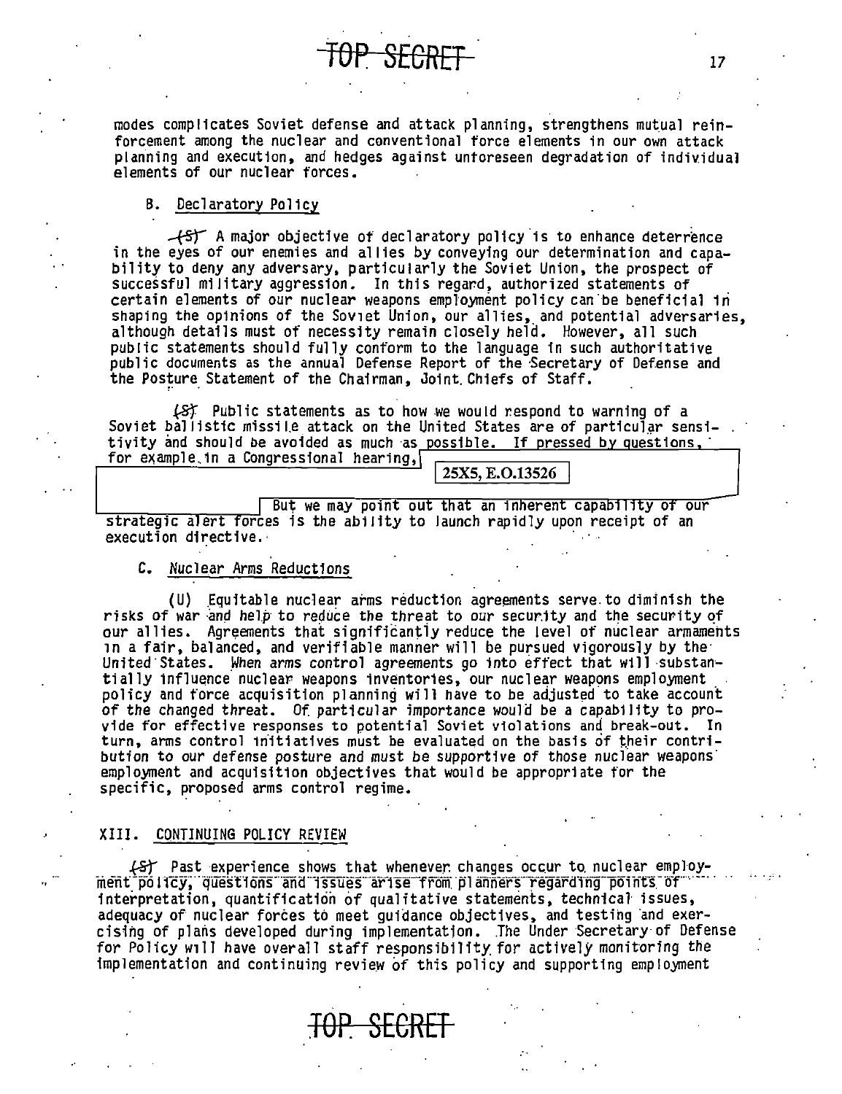modes complicates Soviet defense and attack planning, strengthens mutual reinforcement among the nuclear and conventional force elements in our own attack planning and execution, and hedges against untoreseen degradation of individual elements of our nuclear forces.

#### B. Declaratory Pol1cy

 $+5$  A major objective of declaratory policy is to enhance deterrence<br>in the eyes of our enemies and allies by conveying our determination and capability to deny any adversary, particularly the Soviet Union, the prospect of successful military aggression. In this regard, authorized statements of certain elements of our nuclear weapons employment policy can be beneficial in shaping the opinions of the Soviet Union, our allies, and potential adversaries, although deta1ls must of necessity remain closely held. However, all such public statements should fully conform to the language in such authoritative public documents as the annual Defense Report of the Secretary of Defense and the Posture Statement of the Chairman, Joint Chiefs of Staff.

(S) Public statements as to how we would respond to warning of a Soviet ballistic missile attack on the United States are of particular sensitivity and should be avoided as much as possible. If pressed by questions,  $\frac{1}{100}$  for example.1n a Congressional hearing,  $\frac{1}{25}$   $\frac{25X5, E.0.13526}{2500}$ 

But we may point out that an inherent capability of our strategic alert forces is the ability to launch rapidly upon receipt of an execution directive.·

#### C. Nuclear Arms Reductions

(U) Equitable nuclear arms reduction agreements serve to diminish the risks of war and help to reduce the threat to our security and the security of our allies. Agreements that significantly reduce the level of nuclear armaments in a fair, balanced, and verifiable manner will be pursued vigorously by the· United States. When arms control agreements go into effect that will substantially influence nuclear weapons inventories, our nuclear weapons employment policy and force acquisition planning will have to be adjusted to take account of the changed threat. Of particular importance woula be a capability to provide for effective responses to potential Soviet violations and break-out. In turn, arms control initiatives must be evaluated on the basis of their contribution to our defense posture and must be supportive of those nuclear weapons· employment and acquisition objectives that would be appropriate for the specific, proposed arms control regime.

#### XIII. CONTINUING POLICY REVIEW

.{S} Past experience shows that whenever changes occur to nuclear employ-<br>inent points, questions and issues arise from planners regarding points of.... interpretation, quantification of qualitative statements, technical issues, adequacy of nuclear forces to meet guidance objectives, and testing ·and *exer*cising of plans developed during implementation. The Under Secretary of Defense for Policy will have overall staff responsibility for actively monitoring the implementation and continuing review of this policy and supporting employment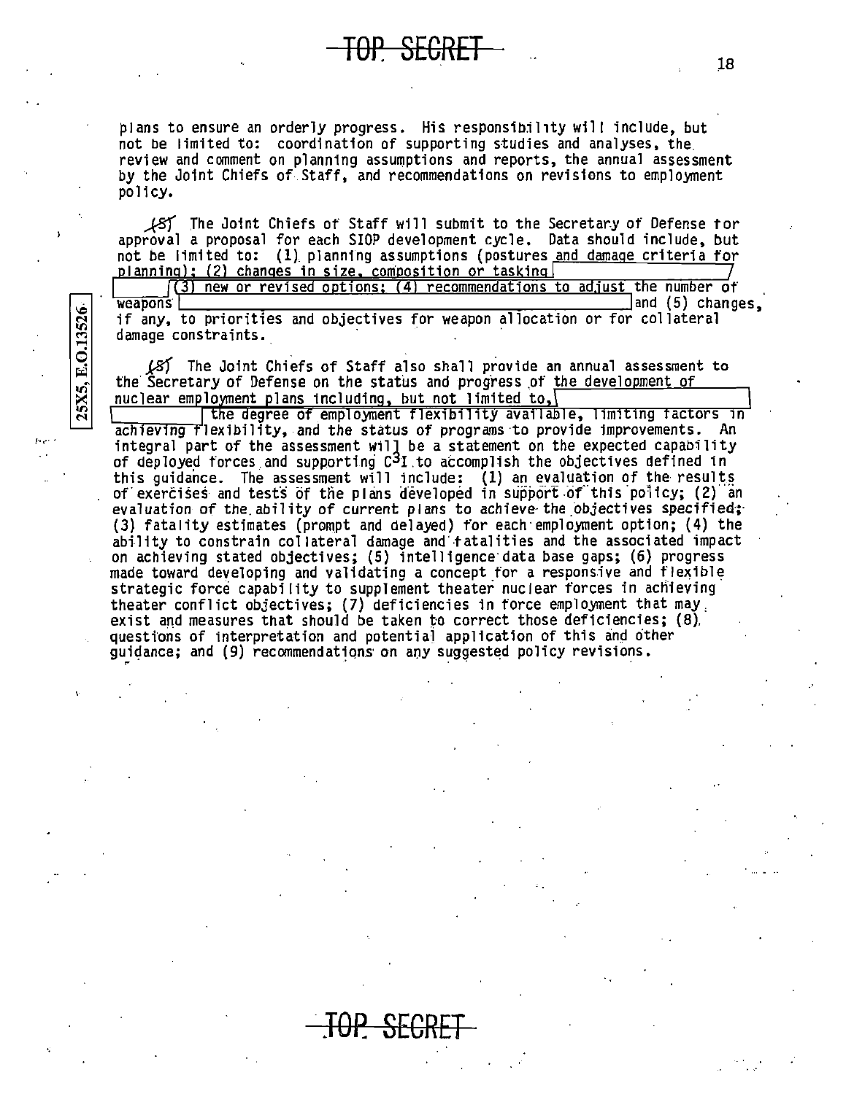plans to ensure an orderly progress. His responsibility will include, but not be limited to: coordination of supporting studies and analyses, the review and comment on planning assumptions and reports, the annual assessment by the Joint Chiefs of Staff, and recommendations on revisions to employment policy.

 $\mathcal{L}$  The Joint Chiefs of Staff will submit to the Secretary of Defense for approval a proposal for each SIOP development cycle. Data should include, but not be limited to: (1) planning assumptions (postures and damage criteria for planning); (2) changes in size, composition or tasking

 $(3)$  new or revised options;  $(4)$  recommendations to adjust the number of weapons and (5) changes. if any, to priorities and objectives for weapon allocation or for collateral damage constraints.

(8) The Joint Chiefs of Staff also shall provide an annual assessment to the Secretary of Defense on the status and progress of the development of nuclear employment plans including, but not limited to,

E.O.13526

25X5,

the degree of employment flexibility available, limiting factors in achieving flexibility, and the status of programs to provide improvements. An integral part of the assessment will be a statement on the expected capability<br>of deployed forces and supporting  $C^3I$  to accomplish the objectives defined in this guidance. The assessment will include: (1) an evaluation of the results of exercises and tests of the plans developed in support of this policy; (2) an evaluation of the ability of current plans to achieve the objectives specified; (3) fatality estimates (prompt and delayed) for each employment option; (4) the ability to constrain collateral damage and fatalities and the associated impact on achieving stated objectives; (5) intelligence data base gaps; (6) progress made toward developing and validating a concept for a responsive and flexible strategic force capability to supplement theater nuclear forces in achieving theater conflict objectives; (7) deficiencies in force employment that may exist and measures that should be taken to correct those deficiencies; (8). questions of interpretation and potential application of this and other guidance; and (9) recommendations on any suggested policy revisions.

18